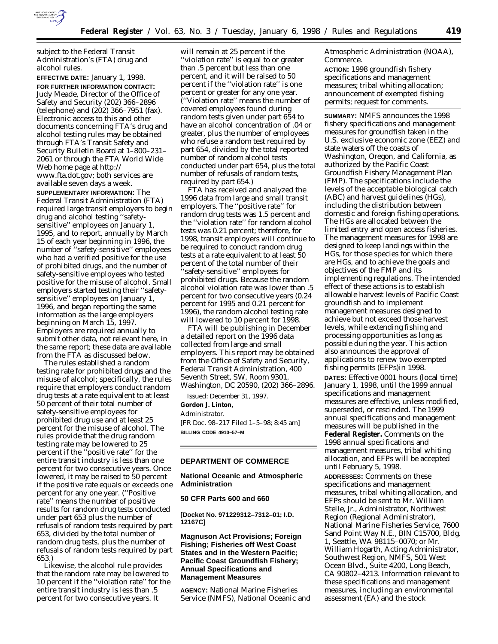

subject to the Federal Transit Administration's (FTA) drug and alcohol rules.

**EFFECTIVE DATE:** January 1, 1998. **FOR FURTHER INFORMATION CONTACT:** Judy Meade, Director of the Office of Safety and Security (202) 366–2896 (telephone) and (202) 366–7951 (fax). Electronic access to this and other documents concerning FTA's drug and alcohol testing rules may be obtained through FTA's Transit Safety and Security Bulletin Board at 1–800–231– 2061 or through the FTA World Wide Web home page at http:// www.fta.dot.gov; both services are available seven days a week.

**SUPPLEMENTARY INFORMATION:** The Federal Transit Administration (FTA) required large transit employers to begin drug and alcohol testing ''safetysensitive'' employees on January 1, 1995, and to report, annually by March 15 of each year beginning in 1996, the number of ''safety-sensitive'' employees who had a verified positive for the use of prohibited drugs, and the number of safety-sensitive employees who tested positive for the misuse of alcohol. Small employers started testing their ''safetysensitive'' employees on January 1, 1996, and began reporting the same information as the large employers beginning on March 15, 1997. Employers are required annually to submit other data, not relevant here, in the same report; these data are available from the FTA as discussed below.

The rules established a random testing rate for prohibited drugs and the misuse of alcohol; specifically, the rules require that employers conduct random drug tests at a rate equivalent to at least 50 percent of their total number of safety-sensitive employees for prohibited drug use and at least 25 percent for the misuse of alcohol. The rules provide that the drug random testing rate may be lowered to 25 percent if the ''positive rate'' for the entire transit industry is less than one percent for two consecutive years. Once lowered, it may be raised to 50 percent if the positive rate equals or exceeds one percent for any one year. (''Positive rate'' means the number of positive results for random drug tests conducted under part 653 plus the number of refusals of random tests required by part 653, divided by the total number of random drug tests, plus the number of refusals of random tests required by part 653.)

Likewise, the alcohol rule provides that the random rate may be lowered to 10 percent if the ''violation rate'' for the entire transit industry is less than .5 percent for two consecutive years. It

will remain at 25 percent if the ''violation rate'' is equal to or greater than .5 percent but less than one percent, and it will be raised to 50 percent if the ''violation rate'' is one percent or greater for any one year. (''Violation rate'' means the number of covered employees found during random tests given under part 654 to have an alcohol concentration of .04 or greater, plus the number of employees who refuse a random test required by part 654, divided by the total reported number of random alcohol tests conducted under part 654, plus the total number of refusals of random tests, required by part 654.)

FTA has received and analyzed the 1996 data from large and small transit employers. The ''positive rate'' for random drug tests was 1.5 percent and the ''violation rate'' for random alcohol tests was 0.21 percent; therefore, for 1998, transit employers will continue to be required to conduct random drug tests at a rate equivalent to at least 50 percent of the total number of their ''safety-sensitive'' employees for prohibited drugs. Because the random alcohol violation rate was lower than .5 percent for two consecutive years (0.24 percent for 1995 and 0.21 percent for 1996), the random alcohol testing rate will lowered to 10 percent for 1998.

FTA will be publishing in December a detailed report on the 1996 data collected from large and small employers. This report may be obtained from the Office of Safety and Security, Federal Transit Administration, 400 Seventh Street, SW, Room 9301, Washington, DC 20590, (202) 366–2896.

Issued: December 31, 1997.

#### **Gordon J. Linton,**

*Administrator.* [FR Doc. 98–217 Filed 1–5–98; 8:45 am] **BILLING CODE 4910–57–M**

## **DEPARTMENT OF COMMERCE**

**National Oceanic and Atmospheric Administration**

#### **50 CFR Parts 600 and 660**

**[Docket No. 971229312–7312–01; I.D. 12167C]**

**Magnuson Act Provisions; Foreign Fishing; Fisheries off West Coast States and in the Western Pacific; Pacific Coast Groundfish Fishery; Annual Specifications and Management Measures**

**AGENCY:** National Marine Fisheries Service (NMFS), National Oceanic and Atmospheric Administration (NOAA), Commerce.

**ACTION:** 1998 groundfish fishery specifications and management measures; tribal whiting allocation; announcement of exempted fishing permits; request for comments.

**SUMMARY:** NMFS announces the 1998 fishery specifications and management measures for groundfish taken in the U.S. exclusive economic zone (EEZ) and state waters off the coasts of Washington, Oregon, and California, as authorized by the Pacific Coast Groundfish Fishery Management Plan (FMP). The specifications include the levels of the acceptable biological catch (ABC) and harvest guidelines (HGs), including the distribution between domestic and foreign fishing operations. The HGs are allocated between the limited entry and open access fisheries. The management measures for 1998 are designed to keep landings within the HGs, for those species for which there are HGs, and to achieve the goals and objectives of the FMP and its implementing regulations. The intended effect of these actions is to establish allowable harvest levels of Pacific Coast groundfish and to implement management measures designed to achieve but not exceed those harvest levels, while extending fishing and processing opportunities as long as possible during the year. This action also announces the approval of applications to renew two exempted fishing permits (EFPs)in 1998. **DATES:** Effective 0001 hours (local time) January 1, 1998, until the 1999 annual specifications and management measures are effective, unless modified, superseded, or rescinded. The 1999 annual specifications and management measures will be published in the **Federal Register.** Comments on the 1998 annual specifications and management measures, tribal whiting allocation, and EFPs will be accepted until February 5, 1998. **ADDRESSES:** Comments on these specifications and management measures, tribal whiting allocation, and EFPs should be sent to Mr. William Stelle, Jr., Administrator, Northwest Region (Regional Administrator), National Marine Fisheries Service, 7600 Sand Point Way N.E., BIN C15700, Bldg. 1, Seattle, WA 98115–0070; or Mr. William Hogarth, Acting Administrator, Southwest Region, NMFS, 501 West

Ocean Blvd., Suite 4200, Long Beach, CA 90802–4213. Information relevant to these specifications and management measures, including an environmental assessment (EA) and the stock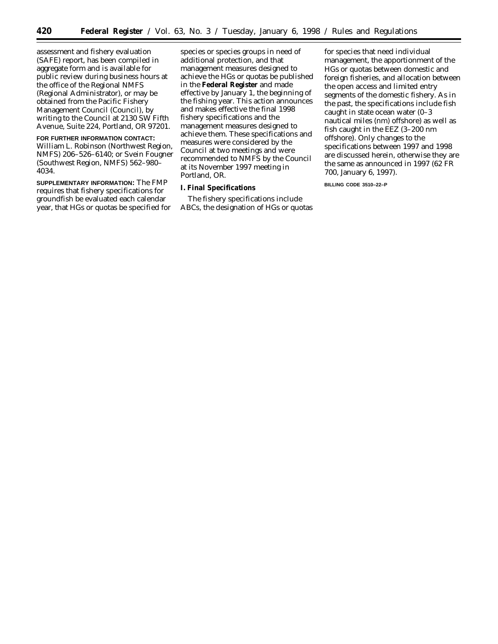assessment and fishery evaluation (SAFE) report, has been compiled in aggregate form and is available for public review during business hours at the office of the Regional NMFS (Regional Administrator), or may be obtained from the Pacific Fishery Management Council (Council), by writing to the Council at 2130 SW Fifth Avenue, Suite 224, Portland, OR 97201.

# **FOR FURTHER INFORMATION CONTACT:**

William L. Robinson (Northwest Region, NMFS) 206–526–6140; or Svein Fougner (Southwest Region, NMFS) 562–980– 4034.

**SUPPLEMENTARY INFORMATION:** The FMP requires that fishery specifications for groundfish be evaluated each calendar year, that HGs or quotas be specified for species or species groups in need of additional protection, and that management measures designed to achieve the HGs or quotas be published in the **Federal Register** and made effective by January 1, the beginning of the fishing year. This action announces and makes effective the final 1998 fishery specifications and the management measures designed to achieve them. These specifications and measures were considered by the Council at two meetings and were recommended to NMFS by the Council at its November 1997 meeting in Portland, OR.

## **I. Final Specifications**

The fishery specifications include ABCs, the designation of HGs or quotas

for species that need individual management, the apportionment of the HGs or quotas between domestic and foreign fisheries, and allocation between the open access and limited entry segments of the domestic fishery. As in the past, the specifications include fish caught in state ocean water (0–3 nautical miles (nm) offshore) as well as fish caught in the EEZ (3–200 nm offshore). Only changes to the specifications between 1997 and 1998 are discussed herein, otherwise they are the same as announced in 1997 (62 FR 700, January 6, 1997).

**BILLING CODE 3510–22–P**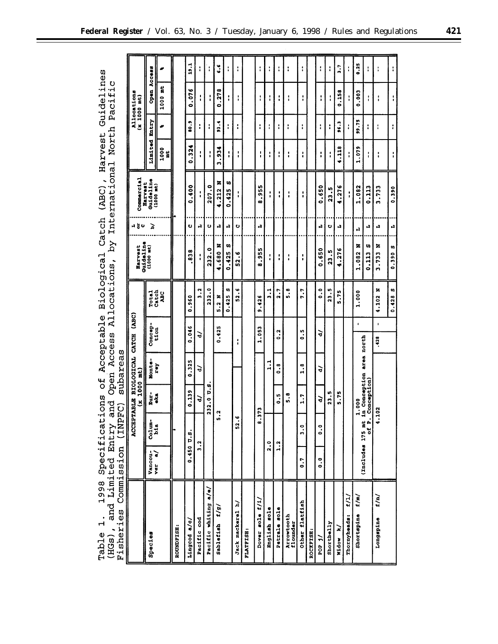|                      | ׇׇׇֺ֝֬֝֬֝<br>׀֢֪<br>Õ |                 |  |  |  |  | cations of Acceptable Biological Catch (ABC), Harvest Guidelines |
|----------------------|-----------------------|-----------------|--|--|--|--|------------------------------------------------------------------|
| Timit<br>٢<br>π<br>j | ۶<br>تا<br>ق<br>ب     |                 |  |  |  |  | ry and Open Access Allocations, by International North Pacific   |
| isher                | ິດ<br>ຕ<br>-<br>188.  | INPFC) subareas |  |  |  |  |                                                                  |

| Fisheries                      | Commission (INP                                 |                  | ັດ<br>ເປັ                                       | subareas                           |                               |                                   |                                  |        |                                   |                  |                   |                              |                      |
|--------------------------------|-------------------------------------------------|------------------|-------------------------------------------------|------------------------------------|-------------------------------|-----------------------------------|----------------------------------|--------|-----------------------------------|------------------|-------------------|------------------------------|----------------------|
|                                |                                                 | ACCEI            | <b>FIRELE</b><br>Ľ                              | BIOLOGICAL CATCH (ABC)<br>1000 mt) |                               |                                   | Guideline<br>Harvest             | 봉 다    | Commercial<br>Harvest             |                  |                   | Allocations<br>$(x 1000$ mt) |                      |
| Species                        | Vancou-<br>ver a/                               | colum-<br>bia    | Rur-<br>eka                                     | Monte                              | Concep-                       | <b>Total</b>                      | $(1000 \text{ m})$               | ā      | Guideline<br>(1000 mt)            | Limited          | Entry             | Open                         | Access               |
|                                |                                                 |                  |                                                 | rey                                | tion                          | Catch<br>2ev                      |                                  |        |                                   | 1000<br>ă        | ج                 | ă<br>1000                    | جد                   |
| ROUNDFISH:                     |                                                 |                  |                                                 |                                    |                               |                                   |                                  |        |                                   |                  |                   |                              |                      |
| Lingcod a/c/                   | 0.450 U.S.                                      |                  | 0.139                                           | 0.325                              | 0.046                         | 560<br>ွ                          | $\infty$<br>$\overline{3}$       | U      | .400<br>ö                         | 0.324            | $\ddot{3}$        | 0.076                        | 19.1                 |
| Pacific cod                    | $\frac{2}{3}$ .                                 |                  | ੋ                                               | ੇ                                  | ਚੋ                            | ņ<br>$\bullet$                    | ٠                                | А      | ۱<br>٠                            | ٠<br>$\bullet$   | i                 | 1<br>$\blacksquare$          | ŧ                    |
| Pacific whiting a/e/           |                                                 |                  | p.s<br>°.<br>$\mathbf{\tilde{z}}$<br>$\ddot{a}$ |                                    |                               | 232.0                             | 232.0                            | υ      | 207.0                             | $\mathbf{I}$     | i                 | I                            | I                    |
| f/g<br>Sablefish               |                                                 | 5.2              |                                                 |                                    | 0.425                         | z<br>$\mathbf{\hat{z}}$<br><br>ما | z<br>4.680                       | ÷<br>H | z<br>$-212$                       | .934<br><b>m</b> | 33.4              | 278<br>ွ                     | ہ<br>ف               |
|                                |                                                 |                  |                                                 |                                    |                               | w<br>0.425                        | w<br>-425<br>$\bullet$           | А      | w<br>425<br>ခဲ                    | I                | ፡                 | I                            | I                    |
| Jack mackerel h/               |                                                 | ۱ø<br>$\ddot{5}$ |                                                 |                                    | $\mathbf{1}$                  | ۱o<br>្ល                          | ە.<br>$\frac{2}{5}$              | U      | 1<br>$\mathbf{I}$                 | ı<br>t           | t                 | ۵<br>f                       | I                    |
| FLATFISH:                      |                                                 |                  |                                                 |                                    |                               |                                   |                                  |        |                                   |                  |                   |                              |                      |
| Dover sole f/i,                |                                                 | $\bullet$        | 373                                             |                                    | 1.053                         | 9.426                             | 955<br>$\boldsymbol{\omega}$     | H      | 955<br>٠<br>œ                     | ı<br>ı           | i                 | ŧ                            | ţ                    |
| English sole                   | 2.0                                             |                  |                                                 | $\frac{1}{1}$                      |                               | ٦<br>$\bullet$                    | $\mathbf{I}$                     |        | ٠<br>$\bullet$                    | I                | ï                 | $\mathbf{I}$                 | I                    |
| Petrale sole                   | $\frac{2}{1}$                                   |                  | 5<br>0                                          | œ.<br>۰                            | $\mathbf{\tilde{c}}$<br>ં     | Γ.<br>$\ddot{\phantom{a}}$        | $\mathbf{I}$                     |        | ı<br>$\bullet$                    | ţ                | t                 | ı                            | t                    |
| <b>Arrowtooth</b><br>flounder  |                                                 |                  | $\ddot{5}$                                      |                                    |                               | $\ddot{5}$ . 8                    | $\mathbf{I}$                     |        | $\mathbf{I}$                      | i                | $\ddot{\ddot{i}}$ | i                            | ÷                    |
| Other flatfish                 | $\ddot{0}$ .                                    | $\frac{0}{3}$    | $\frac{1}{2}$                                   | œ<br>$\ddot{ }$                    | LO,<br>$\bullet$<br>$\bullet$ | 7.7                               | ٠<br>٠                           |        | I                                 | ł                | i                 | ţ                            | $\ddot{\phantom{a}}$ |
| ROCKFISH:                      |                                                 |                  |                                                 |                                    |                               |                                   |                                  |        |                                   |                  |                   |                              |                      |
| <b>FOR</b>                     | $\ddot{\phantom{0}}\phantom{0}\phantom{0}\circ$ | $\ddot{\circ}$   | ਰੋ                                              | ੇ                                  | ৯                             | $\ddot{\circ}$                    | 650<br>$\ddot{\phantom{1}}$<br>Ó | н      | .650<br>o                         | I                | i                 | i                            | I                    |
| Shortbelly                     |                                                 |                  | 23.5                                            |                                    |                               | 23.5                              | ņ<br>$\overline{a}$              | ပ      | n<br>$\bullet$<br>$\overline{23}$ | :                | I                 | í                            | ł                    |
| $\mathbf{z}$<br>Widow          |                                                 |                  | 5.75                                            |                                    |                               | $\frac{1}{2}$<br>m                | .276<br>÷                        | Ĥ      | 4.276                             | 4.118            | 96.3              | 0.158                        | $\ddot{ }$           |
| t/1/<br>Thornyheads:           |                                                 |                  |                                                 |                                    |                               |                                   |                                  |        | ţ                                 | I                | ł                 | I                            | $\mathbf{I}$         |
| t/m/<br>Shortspine             |                                                 |                  | 1.000                                           |                                    | $\bullet$                     | 1.000                             | z<br>1.082                       | Ĥ      | 1.082                             | 1.079            | 99.75             | 0.003                        | 0.25                 |
|                                | (Includes 175 mt                                | of P.            | Conception)                                     | in Conception area north           |                               |                                   | w<br>0.113                       | н      | 0.113                             | i                | :                 | i                            | I                    |
| $\frac{f}{\hbar}$<br>Longspine |                                                 | ٠                | .102                                            |                                    | $\blacksquare$<br>.428        | ×<br>.102<br>٠                    | z<br>3.733                       | А      | 3.733                             | :                | I                 | í                            | I                    |
|                                |                                                 |                  |                                                 |                                    |                               | U)<br>0.428                       | O)<br>0.390                      | А      | 0.390                             | I                | í                 |                              | ÷                    |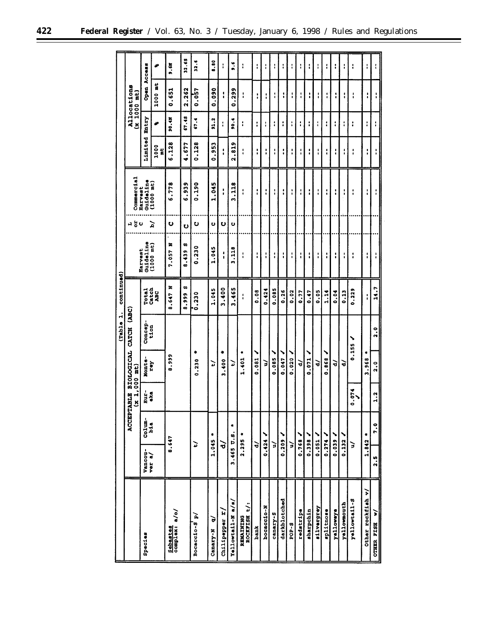|                                  |                      |                      |                                 |                | Table 1.               | continued)     |                                    |     |                      |               |       |                              |                  |
|----------------------------------|----------------------|----------------------|---------------------------------|----------------|------------------------|----------------|------------------------------------|-----|----------------------|---------------|-------|------------------------------|------------------|
|                                  |                      | ACCEI                | $(x 1,000$ mt)<br><b>STABLE</b> |                | BIOLOGICAL CATCH (ABC) |                |                                    | 교봉이 | Commercial           |               |       | Allocations<br>$(x 1000$ mt) |                  |
| Species                          | Vancou-<br>ver a/    | $\frac{1}{2}$<br>b1a | Fur-<br>oka                     | Monte-         | Concep-<br>tion        | Total<br>Catch | Guideline<br>Harvest               |     | Guideline<br>Harvest | Limited Entry |       | Open Access                  |                  |
|                                  |                      |                      |                                 | <b>Zex</b>     |                        | <b>DE</b>      | $(1000 \text{ m}t)$                | ৯   | $(1000 \text{ nt})$  | 1000<br>Ë     | æ     | $1000$ at                    | جے               |
| Sebastes<br>complex: a/o/        | 8.647                |                      |                                 | 8.999          |                        | z<br>8.647     | ×<br>7.057                         | ပ   | 6.778                | 6.128         | 90.4M | 0.651                        | 9.6M             |
|                                  |                      |                      |                                 |                |                        | œ<br>8.999     | w<br>.439<br>$\boldsymbol{\omega}$ | υ   | 6.939                | .677<br>÷     | 67.48 | 2.262                        | 32.65            |
| Bocaccio-Sp/                     | ₽                    |                      |                                 | ٠<br>0.230     |                        | 0.230          | 0.230                              | ဎ   | 0.190                | 0.128         | 67.4  | 0.057                        | 32.6             |
| $\tilde{\mathbf{e}}$<br>Canary-N | 1.045                | ۰                    |                                 | Þ              |                        | 1.045          | 1.045                              | U   | 1.045                | 0.953         | 91.2  | 0.090                        | 8.80             |
| Chilipepper r.                   | ਚੋ                   |                      |                                 | ۰<br>.400<br>m |                        | 3.400          | $\mathbf{I}$                       | ပ   | $\mathbf{I}$         | ţ             | t     | ţ                            | $\mathbf{I}$     |
| $Ya11ovcat1-Na/s/$               | 3.465 U.S.           | ۰                    |                                 | ۵              |                        | .465<br>m      | 3.118                              | υ   | .118<br>m            | .819<br>Ν     | 10.4  | 299<br>0                     | $\ddot{\bullet}$ |
| ROCKFISH t/:<br>REMAINING        | 2.295                | ٠                    |                                 | 1.401          |                        | $\mathbf{I}$   | I                                  |     | I                    | $\mathbf{I}$  | I     | I                            | i                |
| hank                             | ੇ                    |                      |                                 | ╲<br>0.081     |                        | 0.08           | $\frac{1}{4}$                      |     | I                    | I             | I     | :                            | ţ                |
| bocaccio-N                       | 0.424                |                      |                                 | る              |                        | 0.424          | $\mathbf{I}$                       |     | :                    | I             | ı     | i                            | I                |
| canary-S                         | ∍                    |                      |                                 | ╲<br>0.085     |                        | 0.085          | $\mathbf{I}$                       |     | i                    | I             | ŧ     | $\mathbf{I}$                 | ï                |
| darkblotched                     | $0.209$ $\checkmark$ |                      |                                 | 0.047          |                        | 0.26           | ŧ,                                 |     | ÷                    | :             | I     | :                            | ŧ                |
| <b>B-404</b>                     | ∍                    |                      |                                 | 0.020          |                        | 0.02           | i                                  |     | i                    | ٠<br>٠        | i     | $\mathbf{I}$                 | I                |
| redstripe                        | 0.768                |                      |                                 | ੇ              |                        | 0.77           | $\mathbf{I}$                       |     | I                    | i             | ÷     | ŧ                            | ì                |
| sharpchin                        | 0.398                |                      |                                 | 0.071          |                        | 0.47           | t                                  |     | :                    | :             | i     | i                            | ŧ                |
| silvergrey                       | $0.051$ $\checkmark$ |                      |                                 | $\vec{v}$      |                        | 0.05           | I                                  |     | I                    | I             | ŧ     | :                            | $\mathbf{I}$     |
| splitnose                        | 0.274                |                      |                                 | 0.868          |                        | 1.14           | ţ                                  |     | ţ                    | :             | t     | í                            | i                |
| yellowaye                        |                      |                      |                                 | ੇ              |                        | 0.04           | I                                  |     | I                    | $\mathbf{I}$  | ÷     | 1                            | ŧ                |
| yellowmouth                      | 0.132                |                      |                                 | ੇ              |                        | 0.13           | ŧ                                  |     | t                    | I             | i     | I                            | ÷                |
| yellowtail-S                     | ć                    |                      | 0.074                           | 0.155          |                        | 0.223          | I                                  |     | $\ddot{\phantom{a}}$ | i             | ፡     | :                            | $\ddot{\cdot}$   |
| Other rockfish v/                | 1.842                | ۰                    |                                 | ٠<br>3.968     |                        | I              | ŧ                                  |     | ŧ                    | I             | I     | $\ddot{\phantom{a}}$         | ţ                |
| $\mathbf{r}$<br>OTHER FISH       | <br>จ.               | $\ddot{2}$ .         | $\ddot{ }$ .                    | $\frac{0}{2}$  | 2.0                    | 14.7           | ì                                  |     | I                    | I             | I     |                              |                  |
|                                  |                      |                      |                                 |                |                        |                |                                    |     |                      |               |       |                              |                  |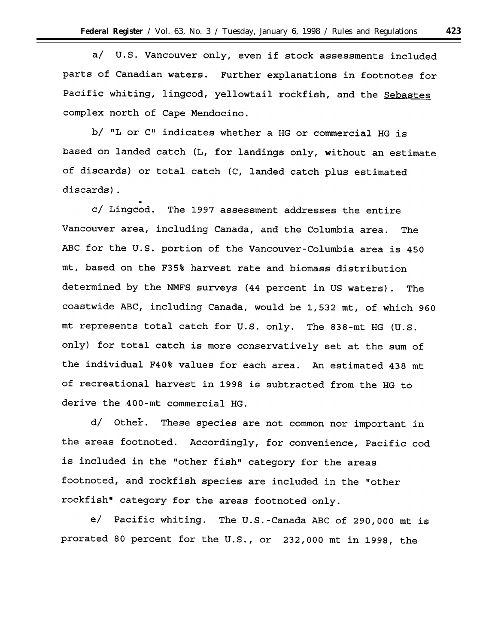$a/$ U.S. Vancouver only, even if stock assessments included parts of Canadian waters. Further explanations in footnotes for Pacific whiting, lingcod, yellowtail rockfish, and the Sebastes complex north of Cape Mendocino.

b/ "L or C" indicates whether a HG or commercial HG is based on landed catch (L, for landings only, without an estimate of discards) or total catch (C, landed catch plus estimated discards).

c/ Lingcod. The 1997 assessment addresses the entire Vancouver area, including Canada, and the Columbia area. The ABC for the U.S. portion of the Vancouver-Columbia area is 450 mt, based on the F35% harvest rate and biomass distribution determined by the NMFS surveys (44 percent in US waters). The coastwide ABC, including Canada, would be 1,532 mt, of which 960 mt represents total catch for U.S. only. The 838-mt HG (U.S. only) for total catch is more conservatively set at the sum of the individual F40% values for each area. An estimated 438 mt of recreational harvest in 1998 is subtracted from the HG to derive the 400-mt commercial HG.

d/ Other. These species are not common nor important in the areas footnoted. Accordingly, for convenience, Pacific cod is included in the "other fish" category for the areas footnoted, and rockfish species are included in the "other rockfish" category for the areas footnoted only.

e/ Pacific whiting. The U.S.-Canada ABC of 290,000 mt is prorated 80 percent for the U.S., or 232,000 mt in 1998, the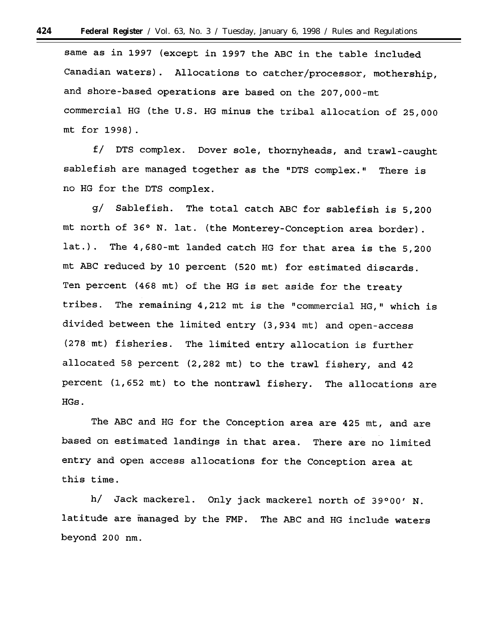same as in 1997 (except in 1997 the ABC in the table included Canadian waters). Allocations to catcher/processor, mothership, and shore-based operations are based on the 207,000-mt commercial HG (the U.S. HG minus the tribal allocation of 25,000 mt for 1998).

f/ DTS complex. Dover sole, thornyheads, and trawl-caught sablefish are managed together as the "DTS complex." There is no HG for the DTS complex.

The total catch ABC for sablefish is 5,200  $\sigma/$ Sablefish. mt north of 36° N. lat. (the Monterey-Conception area border). lat.). The 4,680-mt landed catch HG for that area is the 5,200 mt ABC reduced by 10 percent (520 mt) for estimated discards. Ten percent (468 mt) of the HG is set aside for the treaty tribes. The remaining 4,212 mt is the "commercial HG," which is divided between the limited entry (3,934 mt) and open-access (278 mt) fisheries. The limited entry allocation is further allocated 58 percent (2,282 mt) to the trawl fishery, and 42 percent (1,652 mt) to the nontrawl fishery. The allocations are HGs.

The ABC and HG for the Conception area are 425 mt, and are based on estimated landings in that area. There are no limited entry and open access allocations for the Conception area at this time.

h/ Jack mackerel. Only jack mackerel north of 39°00' N. latitude are managed by the FMP. The ABC and HG include waters beyond 200 nm.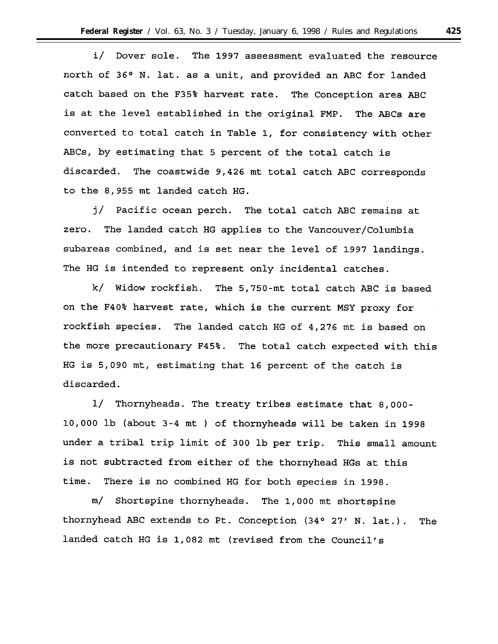Dover sole. The 1997 assessment evaluated the resource i/ north of 36° N. lat. as a unit, and provided an ABC for landed catch based on the F35% harvest rate. The Conception area ABC is at the level established in the original FMP. The ABCs are converted to total catch in Table 1, for consistency with other ABCs, by estimating that 5 percent of the total catch is discarded. The coastwide 9,426 mt total catch ABC corresponds to the 8,955 mt landed catch HG.

j/ Pacific ocean perch. The total catch ABC remains at The landed catch HG applies to the Vancouver/Columbia zero. subareas combined, and is set near the level of 1997 landings. The HG is intended to represent only incidental catches.

k/ Widow rockfish. The 5,750-mt total catch ABC is based on the F40% harvest rate, which is the current MSY proxy for rockfish species. The landed catch HG of 4,276 mt is based on the more precautionary F45%. The total catch expected with this HG is 5,090 mt, estimating that 16 percent of the catch is discarded.

1/ Thornyheads. The treaty tribes estimate that 8,000-10,000 lb (about 3-4 mt) of thornyheads will be taken in 1998 under a tribal trip limit of 300 lb per trip. This small amount is not subtracted from either of the thornyhead HGs at this time. There is no combined HG for both species in 1998.

Shortspine thornyheads. The 1,000 mt shortspine  $m/$ thornyhead ABC extends to Pt. Conception (34° 27' N. lat.). The landed catch HG is 1,082 mt (revised from the Council's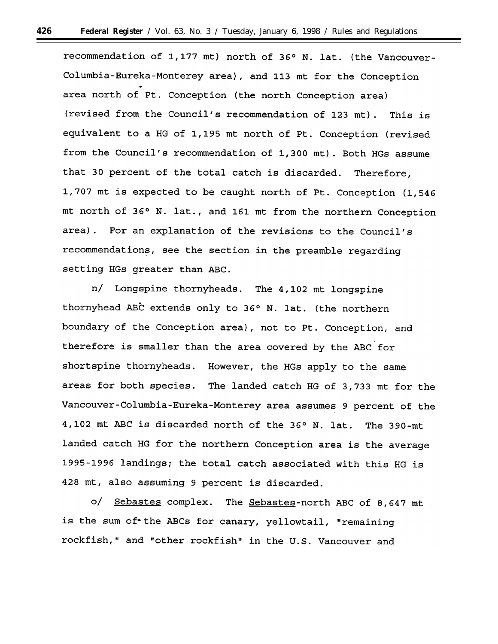recommendation of 1,177 mt) north of 36° N. lat. (the Vancouver-Columbia-Eureka-Monterey area), and 113 mt for the Conception area north of Pt. Conception (the north Conception area) (revised from the Council's recommendation of 123 mt). This is equivalent to a HG of 1,195 mt north of Pt. Conception (revised from the Council's recommendation of 1,300 mt). Both HGs assume that 30 percent of the total catch is discarded. Therefore, 1,707 mt is expected to be caught north of Pt. Conception (1,546 mt north of 36° N. lat., and 161 mt from the northern Conception area). For an explanation of the revisions to the Council's recommendations, see the section in the preamble regarding setting HGs greater than ABC.

n/ Longspine thornyheads. The 4,102 mt longspine thornyhead ABC extends only to 36° N. lat. (the northern boundary of the Conception area), not to Pt. Conception, and therefore is smaller than the area covered by the ABC for shortspine thornyheads. However, the HGs apply to the same areas for both species. The landed catch HG of 3,733 mt for the Vancouver-Columbia-Eureka-Monterey area assumes 9 percent of the 4,102 mt ABC is discarded north of the 36° N. lat. The 390-mt landed catch HG for the northern Conception area is the average 1995-1996 landings; the total catch associated with this HG is 428 mt, also assuming 9 percent is discarded.

 $\circ/$ Sebastes complex. The Sebastes-north ABC of 8,647 mt is the sum of\* the ABCs for canary, yellowtail, "remaining rockfish," and "other rockfish" in the U.S. Vancouver and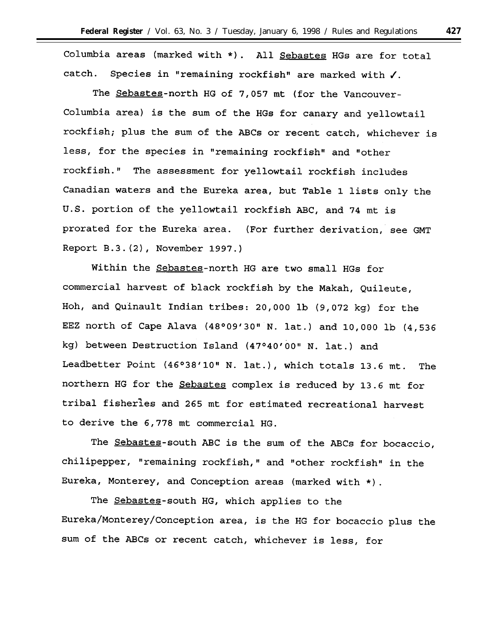Columbia areas (marked with \*). All Sebastes HGs are for total catch. Species in "remaining rockfish" are marked with  $\checkmark$ .

The Sebastes-north HG of 7,057 mt (for the Vancouver-Columbia area) is the sum of the HGs for canary and yellowtail rockfish; plus the sum of the ABCs or recent catch, whichever is less, for the species in "remaining rockfish" and "other rockfish." The assessment for yellowtail rockfish includes Canadian waters and the Eureka area, but Table 1 lists only the U.S. portion of the yellowtail rockfish ABC, and 74 mt is prorated for the Eureka area. (For further derivation, see GMT Report B.3. (2), November 1997.)

Within the Sebastes-north HG are two small HGs for commercial harvest of black rockfish by the Makah, Quileute, Hoh, and Quinault Indian tribes: 20,000 lb (9,072 kg) for the EEZ north of Cape Alava (48°09'30" N. lat.) and 10,000 lb (4,536 kg) between Destruction Island (47°40'00" N. lat.) and Leadbetter Point (46°38'10" N. lat.), which totals 13.6 mt. The northern HG for the Sebastes complex is reduced by 13.6 mt for tribal fisherles and 265 mt for estimated recreational harvest to derive the 6,778 mt commercial HG.

The Sebastes-south ABC is the sum of the ABCs for bocaccio, chilipepper, "remaining rockfish," and "other rockfish" in the Eureka, Monterey, and Conception areas (marked with \*).

The Sebastes-south HG, which applies to the Eureka/Monterey/Conception area, is the HG for bocaccio plus the sum of the ABCs or recent catch, whichever is less, for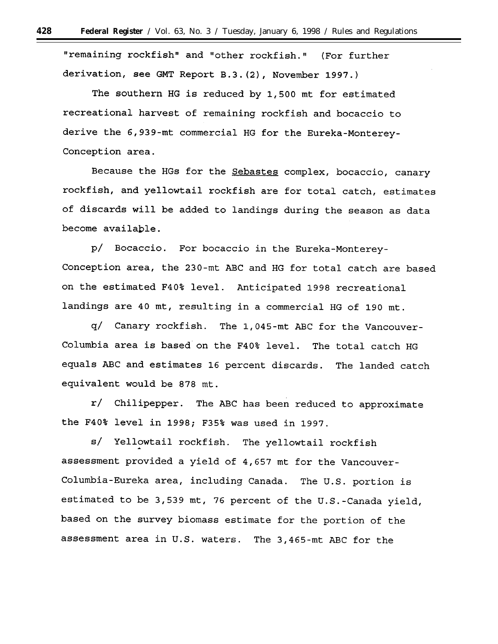"remaining rockfish" and "other rockfish." (For further derivation, see GMT Report B.3. (2), November 1997.)

The southern HG is reduced by 1,500 mt for estimated recreational harvest of remaining rockfish and bocaccio to derive the 6,939-mt commercial HG for the Eureka-Monterey-Conception area.

Because the HGs for the Sebastes complex, bocaccio, canary rockfish, and yellowtail rockfish are for total catch, estimates of discards will be added to landings during the season as data become available.

p/ Bocaccio. For bocaccio in the Eureka-Monterey-Conception area, the 230-mt ABC and HG for total catch are based on the estimated F40% level. Anticipated 1998 recreational landings are 40 mt, resulting in a commercial HG of 190 mt.

q/ Canary rockfish. The 1,045-mt ABC for the Vancouver-Columbia area is based on the F40% level. The total catch HG equals ABC and estimates 16 percent discards. The landed catch equivalent would be 878 mt.

r/ Chilipepper. The ABC has been reduced to approximate the F40% level in 1998; F35% was used in 1997.

s/ Yellowtail rockfish. The yellowtail rockfish assessment provided a yield of 4,657 mt for the Vancouver-Columbia-Eureka area, including Canada. The U.S. portion is estimated to be 3,539 mt, 76 percent of the U.S.-Canada yield, based on the survey biomass estimate for the portion of the assessment area in U.S. waters. The 3,465-mt ABC for the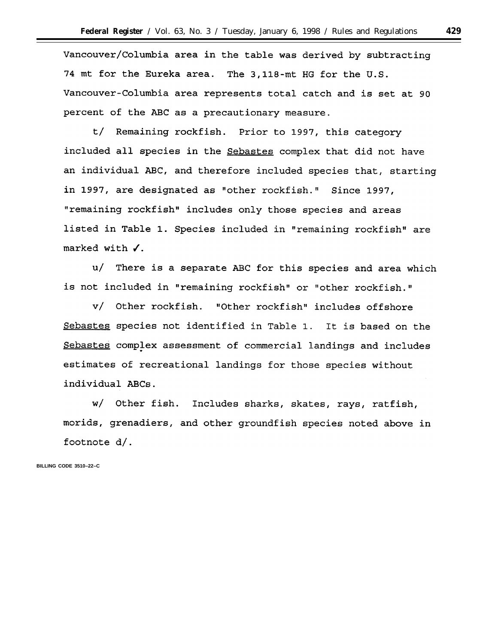Vancouver/Columbia area in the table was derived by subtracting 74 mt for the Eureka area. The 3,118-mt HG for the U.S. Vancouver-Columbia area represents total catch and is set at 90 percent of the ABC as a precautionary measure.

t/ Remaining rockfish. Prior to 1997, this category included all species in the Sebastes complex that did not have an individual ABC, and therefore included species that, starting in 1997, are designated as "other rockfish." Since 1997, "remaining rockfish" includes only those species and areas listed in Table 1. Species included in "remaining rockfish" are marked with  $\checkmark$ .

u/ There is a separate ABC for this species and area which is not included in "remaining rockfish" or "other rockfish."

v/ Other rockfish. "Other rockfish" includes offshore Sebastes species not identified in Table 1. It is based on the Sebastes complex assessment of commercial landings and includes estimates of recreational landings for those species without individual ABCs.

w/ Other fish. Includes sharks, skates, rays, ratfish, morids, grenadiers, and other groundfish species noted above in footnote d/.

**BILLING CODE 3510–22–C**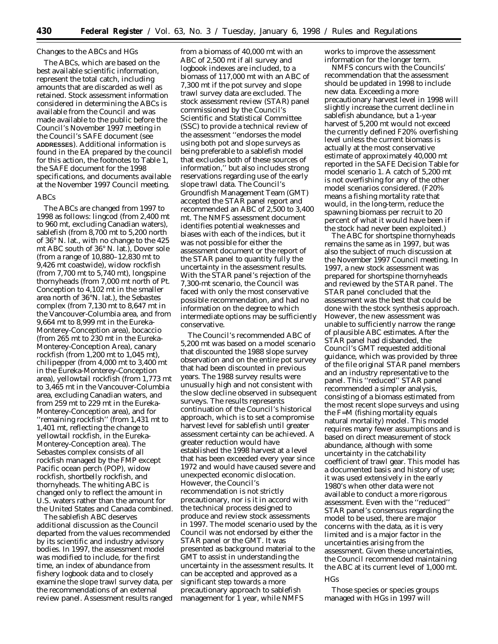### *Changes to the ABCs and HGs*

The ABCs, which are based on the best available scientific information, represent the total catch, including amounts that are discarded as well as retained. Stock assessment information considered in determining the ABCs is available from the Council and was made available to the public before the Council's November 1997 meeting in the Council's SAFE document (see **ADDRESSES**). Additional information is found in the EA prepared by the council for this action, the footnotes to Table 1, the SAFE document for the 1998 specifications, and documents available at the November 1997 Council meeting.

## ABCs

The ABCs are changed from 1997 to 1998 as follows: lingcod (from 2,400 mt to 960 mt, excluding Canadian waters), sablefish (from 8,700 mt to 5,200 north of 36° N. lat., with no change to the 425 mt ABC south of 36° N. lat.), Dover sole (from a range of 10,880–12,830 mt to 9,426 mt coastwide), widow rockfish (from 7,700 mt to 5,740 mt), longspine thornyheads (from 7,000 mt north of Pt. Conception to 4,102 mt in the smaller area north of 36°N. lat.), the *Sebastes* complex (from 7,130 mt to 8,647 mt in the Vancouver-Columbia area, and from 9,664 mt to 8,999 mt in the Eureka-Monterey-Conception area), bocaccio (from 265 mt to 230 mt in the Eureka-Monterey-Conception Area), canary rockfish (from 1,200 mt to 1,045 mt), chilipepper (from 4,000 mt to 3,400 mt in the Eureka-Monterey-Conception area), yellowtail rockfish (from 1,773 mt to 3,465 mt in the Vancouver-Columbia area, excluding Canadian waters, and from 259 mt to 229 mt in the Eureka-Monterey-Conception area), and for ''remaining rockfish'' (from 1,431 mt to 1,401 mt, reflecting the change to yellowtail rockfish, in the Eureka-Monterey-Conception area). The *Sebastes* complex consists of all rockfish managed by the FMP except Pacific ocean perch (POP), widow rockfish, shortbelly rockfish, and thornyheads. The whiting ABC is changed only to reflect the amount in U.S. waters rather than the amount for the United States and Canada combined.

The sablefish ABC deserves additional discussion as the Council departed from the values recommended by its scientific and industry advisory bodies. In 1997, the assessment model was modified to include, for the first time, an index of abundance from fishery logbook data and to closely examine the slope trawl survey data, per the recommendations of an external review panel. Assessment results ranged

from a biomass of 40,000 mt with an ABC of 2,500 mt if all survey and logbook indexes are included, to a biomass of 117,000 mt with an ABC of 7,300 mt if the pot survey and slope trawl survey data are excluded. The stock assessment review (STAR) panel commissioned by the Council's Scientific and Statistical Committee (SSC) to provide a technical review of the assessment ''endorses the model using both pot and slope surveys as being preferable to a sablefish model that excludes both of these sources of information,'' but also includes strong reservations regarding use of the early slope trawl data. The Council's Groundfish Management Team (GMT) accepted the STAR panel report and recommended an ABC of 2,500 to 3,400 mt. The NMFS assessment document identifies potential weaknesses and biases with each of the indices, but it was not possible for either the assessment document or the report of the STAR panel to quantity fully the uncertainty in the assessment results. With the STAR panel's rejection of the 7,300-mt scenario, the Council was faced with only the most conservative possible recommendation, and had no information on the degree to which intermediate options may be sufficiently conservative.

The Council's recommended ABC of 5,200 mt was based on a model scenario that discounted the 1988 slope survey observation and on the entire pot survey that had been discounted in previous years. The 1988 survey results were unusually high and not consistent with the slow decline observed in subsequent surveys. The results represents continuation of the Council's historical approach, which is to set a compromise harvest level for sablefish until greater assessment certainty can be achieved. A greater reduction would have established the 1998 harvest at a level that has been exceeded every year since 1972 and would have caused severe and unexpected economic dislocation. However, the Council's recommendation is not strictly precautionary, nor is it in accord with the technical process designed to produce and review stock assessments in 1997. The model scenario used by the Council was not endorsed by either the STAR panel or the GMT. It was presented as background material to the GMT to assist in understanding the uncertainty in the assessment results. It can be accepted and approved as a significant step towards a more precautionary approach to sablefish management for 1 year, while NMFS

works to improve the assessment information for the longer term.

NMFS concurs with the Councils' recommendation that the assessment should be updated in 1998 to include new data. Exceeding a more precautionary harvest level in 1998 will slightly increase the current decline in sablefish abundance, but a 1-year harvest of 5,200 mt would not exceed the currently defined F20% overfishing level unless the current biomass is actually at the most conservative estimate of approximately 40,000 mt reported in the SAFE Decision Table for model scenario 1. A catch of 5,200 mt is not overfishing for any of the other model scenarios considered. (F20% means a fishing mortality rate that would, in the long-term, reduce the spawning biomass per recruit to 20 percent of what it would have been if the stock had never been exploited.)

The ABC for shortspine thornyheads remains the same as in 1997, but was also the subject of much discussion at the November 1997 Council meeting. In 1997, a new stock assessment was prepared for shortspine thornyheads and reviewed by the STAR panel. The STAR panel concluded that the assessment was the best that could be done with the stock synthesis approach. However, the new assessment was unable to sufficiently narrow the range of plausible ABC estimates. After the STAR panel had disbanded, the Council's GMT requested additional guidance, which was provided by three of the file original STAR panel members and an industry representative to the panel. This ''reduced'' STAR panel recommended a simpler analysis, consisting of a biomass estimated from the most recent slope surveys and using the F=M (fishing mortality equals natural mortality) model. This model requires many fewer assumptions and is based on direct measurement of stock abundance, although with some uncertainty in the catchability coefficient of trawl gear. This model has a documented basis and history of use; it was used extensively in the early 1980's when other data were not available to conduct a more rigorous assessment. Even with the ''reduced'' STAR panel's consensus regarding the model to be used, there are major concerns with the data, as it is very limited and is a major factor in the uncertainties arising from the assessment. Given these uncertainties, the Council recommended maintaining the ABC at its current level of 1,000 mt.

### HGs

Those species or species groups managed with HGs in 1997 will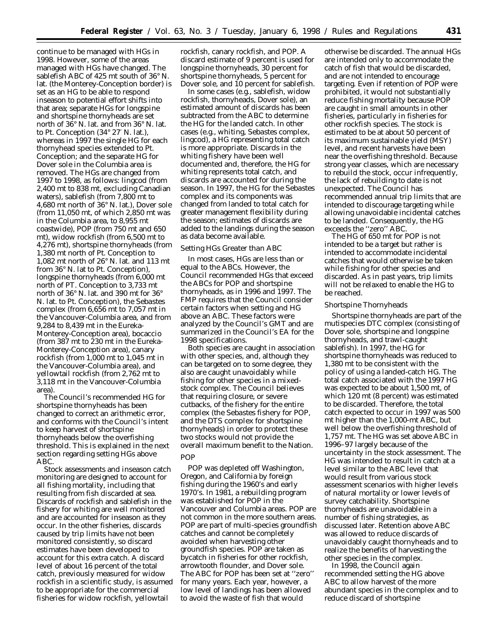continue to be managed with HGs in 1998. However, some of the areas managed with HGs have changed. The sablefish ABC of 425 mt south of 36° N. lat. (the Monterey-Conception border) is set as an HG to be able to respond inseason to potential effort shifts into that area; separate HGs for longspine and shortspine thornyheads are set north of 36° N. lat. and from 36° N. lat. to Pt. Conception (34° 27′ N. lat.), whereas in 1997 the single HG for each thornyhead species extended to Pt. Conception; and the separate HG for Dover sole in the Columbia area is removed. The HGs are changed from 1997 to 1998, as follows: lingcod (from 2,400 mt to 838 mt, excluding Canadian waters), sablefish (from 7,800 mt to 4,680 mt north of 36° N. lat.), Dover sole (from 11,050 mt, of which 2,850 mt was in the Columbia area, to 8,955 mt coastwide), POP (from 750 mt and 650 mt), widow rockfish (from 6,500 mt to 4,276 mt), shortspine thornyheads (from 1,380 mt north of Pt. Conception to 1,082 mt north of 26° N. lat. and 113 mt from 36° N. lat to Pt. Conception), longspine thornyheads (from 6,000 mt north of PT. Conception to 3,733 mt north of 36° N. lat. and 390 mt for 36° N. lat. to Pt. Conception), the *Sebastes* complex (from 6,656 mt to 7,057 mt in the Vancouver-Columbia area, and from 9,284 to 8,439 mt in the Eureka-Monterey-Conception area), bocaccio (from 387 mt to 230 mt in the Eureka-Monterey-Conception area), canary rockfish (from 1,000 mt to 1,045 mt in the Vancouver-Columbia area), and yellowtail rockfish (from 2,762 mt to 3,118 mt in the Vancouver-Columbia area).

The Council's recommended HG for shortspine thornyheads has been changed to correct an arithmetic error, and conforms with the Council's intent to keep harvest of shortspine thornyheads below the overfishing threshold. This is explained in the next section regarding setting HGs above ABC.

Stock assessments and inseason catch monitoring are designed to account for all fishing mortality, including that resulting from fish discarded at sea. Discards of rockfish and sablefish in the fishery for whiting are well monitored and are accounted for inseason as they occur. In the other fisheries, discards caused by trip limits have not been monitored consistently, so discard estimates have been developed to account for this extra catch. A discard level of about 16 percent of the total catch, previously measured for widow rockfish in a scientific study, is assumed to be appropriate for the commercial fisheries for widow rockfish, yellowtail

rockfish, canary rockfish, and POP. A discard estimate of 9 percent is used for longspine thornyheads, 30 percent for shortspine thornyheads, 5 percent for Dover sole, and 10 percent for sablefish.

In some cases (e.g., sablefish, widow rockfish, thornyheads, Dover sole), an estimated amount of discards has been subtracted from the ABC to determine the HG for the landed catch. In other cases (e.g., whiting, *Sebastes* complex, lingcod), a HG representing total catch is more appropriate. Discards in the whiting fishery have been well documented and, therefore, the HG for whiting represents total catch, and discards are accounted for during the season. In 1997, the HG for the *Sebastes* complex and its components was changed from landed to total catch for greater management flexibility during the season; estimates of discards are added to the landings during the season as data become available.

#### *Setting HGs Greater than ABC*

In most cases, HGs are less than or equal to the ABCs. However, the Council recommended HGs that exceed the ABCs for POP and shortspine thornyheads, as in 1996 and 1997. The FMP requires that the Council consider certain factors when setting and HG above an ABC. These factors were analyzed by the Council's GMT and are summarized in the Council's EA for the 1998 specifications.

Both species are caught in association with other species, and, although they can be targeted on to some degree, they also are caught unavoidably while fishing for other species in a mixedstock complex. The Council believes that requiring closure, or severe cutbacks, of the fishery for the entire complex (the *Sebastes* fishery for POP, and the DTS complex for shortspine thornyheads) in order to protect these two stocks would not provide the overall maximum benefit to the Nation. POP

POP was depleted off Washington, Oregon, and California by foreign fishing during the 1960's and early 1970's. In 1981, a rebuilding program was established for POP in the Vancouver and Columbia areas. POP are not common in the more southern areas. POP are part of multi-species groundfish catches and cannot be completely avoided when harvesting other groundfish species. POP are taken as bycatch in fisheries for other rockfish, arrowtooth flounder, and Dover sole. The ABC for POP has been set at ''zero'' for many years. Each year, however, a low level of landings has been allowed to avoid the waste of fish that would

otherwise be discarded. The annual HGs are intended only to accommodate the catch of fish that would be discarded, and are not intended to encourage targeting. Even if retention of POP were prohibited, it would not substantially reduce fishing mortality because POP are caught in small amounts in other fisheries, particularly in fisheries for other rockfish species. The stock is estimated to be at about 50 percent of its maximum sustainable yield (MSY) level, and recent harvests have been near the overfishing threshold. Because strong year classes, which are necessary to rebuild the stock, occur infrequently, the lack of rebuilding to date is not unexpected. The Council has recommended annual trip limits that are intended to discourage targeting while allowing unavoidable incidental catches to be landed. Consequently, the HG exceeds the ''zero'' ABC.

The HG of 650 mt for POP is not intended to be a target but rather is intended to accommodate incidental catches that would otherwise be taken while fishing for other species and discarded. As in past years, trip limits will not be relaxed to enable the HG to be reached.

## Shortspine Thornyheads

Shortspine thornyheads are part of the mutispecies DTC complex (consisting of Dover sole, shortspine and longspine thornyheads, and trawl-caught sablefish). In 1997, the HG for shortspine thornyheads was reduced to 1,380 mt to be consistent with the policy of using a landed-catch HG. The total catch associated with the 1997 HG was expected to be about 1,500 mt, of which 120 mt (8 percent) was estimated to be discarded. Therefore, the total catch expected to occur in 1997 was 500 mt higher than the 1,000-mt ABC, but well below the overfishing threshold of 1,757 mt. The HG was set above ABC in 1996–97 largely because of the uncertainty in the stock assessment. The HG was intended to result in catch at a level similar to the ABC level that would result from various stock assessment scenarios with higher levels of natural mortality or lower levels of survey catchability. Shortspine thornyheads are unavoidable in a number of fishing strategies, as discussed later. Retention above ABC was allowed to reduce discards of unavoidably caught thornyheads and to realize the benefits of harvesting the other species in the complex.

In 1998, the Council again recommended setting the HG above ABC to allow harvest of the more abundant species in the complex and to reduce discard of shortspine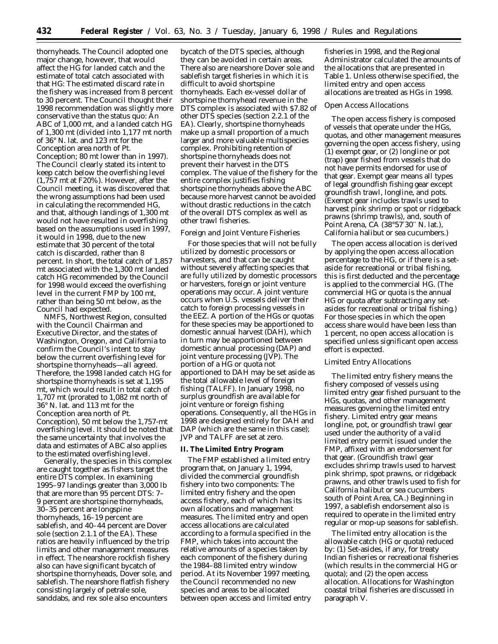thornyheads. The Council adopted one major change, however, that would affect the HG for landed catch and the estimate of total catch associated with that HG: The estimated discard rate in the fishery was increased from 8 percent to 30 percent. The Council thought their 1998 recommendation was slightly more conservative than the status quo: An ABC of 1,000 mt, and a landed catch HG of 1,300 mt (divided into 1,177 mt north of 36° N. lat. and 123 mt for the Conception area north of Pt. Conception; 80 mt lower than in 1997). The Council clearly stated its intent to keep catch below the overfishing level (1,757 mt at F20%). However, after the Council meeting, it was discovered that the wrong assumptions had been used in calculating the recommended HG, and that, although landings of 1,300 mt would not have resulted in overfishing based on the assumptions used in 1997, it would in 1998, due to the new estimate that 30 percent of the total catch is discarded, rather than 8 percent. In short, the total catch of 1,857 mt associated with the 1,300 mt landed catch HG recommended by the Council for 1998 would exceed the overfishing level in the current FMP by 100 mt, rather than being 50 mt below, as the Council had expected.

NMFS, Northwest Region, consulted with the Council Chairman and Executive Director, and the states of Washington, Oregon, and California to confirm the Council's intent to stay below the current overfishing level for shortspine thornyheads—all agreed. Therefore, the 1998 landed catch HG for shortspine thornyheads is set at 1,195 mt, which would result in total catch of 1,707 mt (prorated to 1,082 mt north of 36° N. lat. and 113 mt for the Conception area north of Pt. Conception), 50 mt below the 1,757-mt overfishing level. It should be noted that the same uncertainty that involves the data and estimates of ABC also applies to the estimated overfishing level.

Generally, the species in this complex are caught together as fishers target the entire DTS complex. In examining 1995–97 landings greater than 3,000 lb that are more than 95 percent DTS: 7– 9 percent are shortspine thornyheads, 30–35 percent are longspine thornyheads, 16–19 percent are sablefish, and 40–44 percent are Dover sole (section 2.1.1 of the EA). These ratios are heavily influenced by the trip limits and other management measures in effect. The nearshore rockfish fishery also can have significant bycatch of shortspine thornyheads, Dover sole, and sablefish. The nearshore flatfish fishery consisting largely of petrale sole, sanddabs, and rex sole also encounters

bycatch of the DTS species, although they can be avoided in certain areas. There also are nearshore Dover sole and sablefish target fisheries in which it is difficult to avoid shortspine thornyheads. Each ex-vessel dollar of shortspine thornyhead revenue in the DTS complex is associated with \$7.82 of other DTS species (section 2.2.1 of the EA). Clearly, shortspine thornyheads make up a small proportion of a much larger and more valuable multispecies complex. Prohibiting retention of shortspine thornyheads does not prevent their harvest in the DTS complex. The value of the fishery for the entire complex justifies fishing shortspine thornyheads above the ABC because more harvest cannot be avoided without drastic reductions in the catch of the overall DTS complex as well as other trawl fisheries.

#### *Foreign and Joint Venture Fisheries*

For those species that will not be fully utilized by domestic processors or harvesters, and that can be caught without severely affecting species that are fully utilized by domestic processors or harvesters, foreign or joint venture operations may occur. A joint venture occurs when U.S. vessels deliver their catch to foreign processing vessels in the EEZ. A portion of the HGs or quotas for these species may be apportioned to domestic annual harvest (DAH), which in turn may be apportioned between domestic annual processing (DAP) and joint venture processing (JVP). The portion of a HG or quota not apportioned to DAH may be set aside as the total allowable level of foreign fishing (TALFF). In January 1998, no surplus groundfish are available for joint venture or foreign fishing operations. Consequently, all the HGs in 1998 are designed entirely for DAH and DAP (which are the same in this case); JVP and TALFF are set at zero.

### **II. The Limited Entry Program**

The FMP established a limited entry program that, on January 1, 1994, divided the commercial groundfish fishery into two components: The limited entry fishery and the open access fishery, each of which has its own allocations and management measures. The limited entry and open access allocations are calculated according to a formula specified in the FMP, which takes into account the relative amounts of a species taken by each component of the fishery during the 1984–88 limited entry window period. At its November 1997 meeting, the Council recommended no new species and areas to be allocated between open access and limited entry

fisheries in 1998, and the Regional Administrator calculated the amounts of the allocations that are presented in Table 1. Unless otherwise specified, the limited entry and open access allocations are treated as HGs in 1998.

## *Open Access Allocations*

The open access fishery is composed of vessels that operate under the HGs, quotas, and other management measures governing the open access fishery, using (1) exempt gear, or (2) longline or pot (trap) gear fished from vessels that do not have permits endorsed for use of that gear. Exempt gear means all types of legal groundfish fishing gear except groundfish trawl, longline, and pots. (Exempt gear includes trawls used to harvest pink shrimp or spot or ridgeback prawns (shrimp trawls), and, south of Point Arena, CA (38°57′30′′ N. lat.), California halibut or sea cucumbers.)

The open access allocation is derived by applying the open access allocation percentage to the HG, or if there is a setaside for recreational or tribal fishing, this is first deducted and the percentage is applied to the commercial HG. (The commercial HG or quota is the annual HG or quota after subtracting any setasides for recreational or tribal fishing.) For those species in which the open access share would have been less than 1 percent, no open access allocation is specified unless significant open access effort is expected.

## *Limited Entry Allocations*

The limited entry fishery means the fishery composed of vessels using limited entry gear fished pursuant to the HGs, quotas, and other management measures governing the limited entry fishery. Limited entry gear means longline, pot, or groundfish trawl gear used under the authority of a valid limited entry permit issued under the FMP, affixed with an endorsement for that gear. (Groundfish trawl gear excludes shrimp trawls used to harvest pink shrimp, spot prawns, or ridgeback prawns, and other trawls used to fish for California halibut or sea cucumbers south of Point Area, CA.) Beginning in 1997, a sablefish endorsement also is required to operate in the limited entry regular or mop-up seasons for sablefish.

The limited entry allocation is the allowable catch (HG or quota) reduced by: (1) Set-asides, if any, for treaty Indian fisheries or recreational fisheries (which results in the commercial HG or quota); and (2) the open access allocation. Allocations for Washington coastal tribal fisheries are discussed in paragraph V.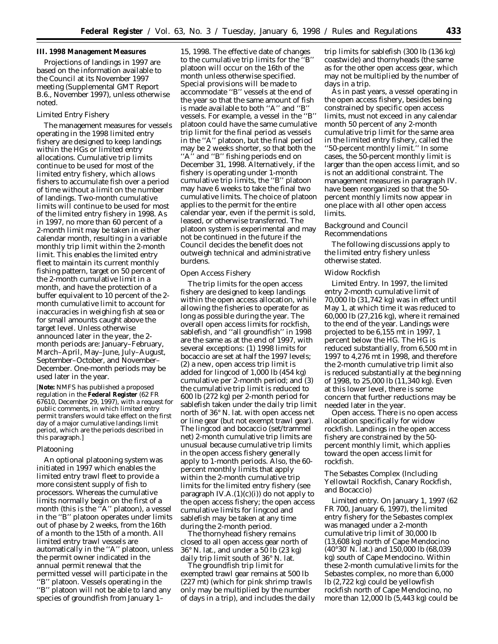# **III. 1998 Management Measures**

Projections of landings in 1997 are based on the information available to the Council at its November 1997 meeting (Supplemental GMT Report B.6., November 1997), unless otherwise noted.

## *Limited Entry Fishery*

The management measures for vessels operating in the 1998 limited entry fishery are designed to keep landings within the HGs or limited entry allocations. Cumulative trip limits continue to be used for most of the limited entry fishery, which allows fishers to accumulate fish over a period of time without a limit on the number of landings. Two-month cumulative limits will continue to be used for most of the limited entry fishery in 1998. As in 1997, no more than 60 percent of a 2-month limit may be taken in either calendar month, resulting in a variable monthly trip limit within the 2-month limit. This enables the limited entry fleet to maintain its current monthly fishing pattern, target on 50 percent of the 2-month cumulative limit in a month, and have the protection of a buffer equivalent to 10 percent of the 2 month cumulative limit to account for inaccuracies in weighing fish at sea or for small amounts caught above the target level. Unless otherwise announced later in the year, the 2 month periods are: January–February, March–April, May–June, July–August, September–October, and November– December. One-month periods may be used later in the year.

[**Note:** NMFS has published a proposed regulation in the **Federal Register** (62 FR 67610, December 29, 1997), with a request for public comments, in which limited entry permit transfers would take effect on the first day of a major cumulative landings limit period, which are the periods described in this paragraph.]

#### Platooning

An optional platooning system was initiated in 1997 which enables the limited entry trawl fleet to provide a more consistent supply of fish to processors. Whereas the cumulative limits normally begin on the first of a month (this is the "A" platoon), a vessel in the ''B'' platoon operates under limits out of phase by 2 weeks, from the 16th of a month to the 15th of a month. All limited entry trawl vessels are automatically in the "A" platoon, unless the permit owner indicated in the annual permit renewal that the permitted vessel will participate in the ''B'' platoon. Vessels operating in the ''B'' platoon will not be able to land any species of groundfish from January 1–

15, 1998. The effective date of changes to the cumulative trip limits for the ''B'' platoon will occur on the 16th of the month unless otherwise specified. Special provisions will be made to accommodate ''B'' vessels at the end of the year so that the same amount of fish is made available to both ''A'' and ''B'' vessels. For example, a vessel in the ''B'' platoon could have the same cumulative trip limit for the final period as vessels in the ''A'' platoon, but the final period may be 2 weeks shorter, so that both the "A" and "B" fishing periods end on December 31, 1998. Alternatively, if the fishery is operating under 1-month cumulative trip limits, the ''B'' platoon may have 6 weeks to take the final two cumulative limits. The choice of platoon applies to the permit for the entire calendar year, even if the permit is sold, leased, or otherwise transferred. The platoon system is experimental and may not be continued in the future if the Council decides the benefit does not outweigh technical and administrative burdens.

# *Open Access Fishery*

The trip limits for the open access fishery are designed to keep landings within the open access allocation, while allowing the fisheries to operate for as long as possible during the year. The overall open access limits for rockfish, sablefish, and ''all groundfish'' in 1998 are the same as at the end of 1997, with several exceptions: (1) 1998 limits for bocaccio are set at half the 1997 levels; (2) a new, open access trip limit is added for lingcod of 1,000 lb (454 kg) cumulative per 2-month period; and (3) the cumulative trip limit is reduced to 600 lb (272 kg) per 2-month period for sablefish taken under the daily trip limit north of 36° N. lat. with open access net or line gear (but not exempt trawl gear). The lingcod and bocaccio (set/trammel net) 2-month cumulative trip limits are unusual because cumulative trip limits in the open access fishery generally apply to 1-month periods. Also, the 60 percent monthly limits that apply within the 2-month cumulative trip limits for the limited entry fishery (see paragraph IV.A. $(1)(c)(i)$  do not apply to the open access fishery; the open access cumulative limits for lingcod and sablefish may be taken at any time during the 2-month period.

The thornyhead fishery remains closed to all open access gear north of 36° N. lat., and under a 50 lb (23 kg) daily trip limit south of 36° N. lat.

The groundfish trip limit for exempted trawl gear remains at 500 lb (227 mt) (which for pink shrimp trawls only may be multiplied by the number of days in a trip), and includes the daily

trip limits for sablefish (300 lb (136 kg) coastwide) and thornyheads (the same as for the other open access gear, which may not be multiplied by the number of days in a trip.

As in past years, a vessel operating in the open access fishery, besides being constrained by specific open access limits, must not exceed in any calendar month 50 percent of any 2-month cumulative trip limit for the same area in the limited entry fishery, called the ''50-percent monthly limit.'' In some cases, the 50-percent monthly limit is larger than the open access limit, and so is not an additional constraint. The management measures in paragraph IV. have been reorganized so that the 50 percent monthly limits now appear in one place with all other open access limits.

### *Background and Council Recommendations*

The following discussions apply to the limited entry fishery unless otherwise stated.

#### Widow Rockfish

*Limited Entry.* In 1997, the limited entry 2-month cumulative limit of 70,000 lb (31,742 kg) was in effect until May 1, at which time it was reduced to 60,000 lb (27,216 kg), where it remained to the end of the year. Landings were projected to be 6,155 mt in 1997, 1 percent below the HG. The HG is reduced substantially, from 6,500 mt in 1997 to 4,276 mt in 1998, and therefore the 2-month cumulative trip limit also is reduced substantially at the beginning of 1998, to 25,000 lb (11,340 kg). Even at this lower level, there is some concern that further reductions may be needed later in the year.

*Open access.* There is no open access allocation specifically for widow rockfish. Landings in the open access fishery are constrained by the 50 percent monthly limit, which applies toward the open access limit for rockfish.

## The Sebastes Complex (Including Yellowtail Rockfish, Canary Rockfish, and Bocaccio)

*Limited entry.* On January 1, 1997 (62 FR 700, January 6, 1997), the limited entry fishery for the *Sebastes* complex was managed under a 2-month cumulative trip limit of 30,000 lb (13,608 kg) north of Cape Mendocino (40°30′ N. lat.) and 150,000 lb (68,039 kg) south of Cape Mendocino. Within these 2-month cumulative limits for the *Sebastes* complex, no more than 6,000 lb (2,722 kg) could be yellowfish rockfish north of Cape Mendocino, no more than 12,000 lb (5,443 kg) could be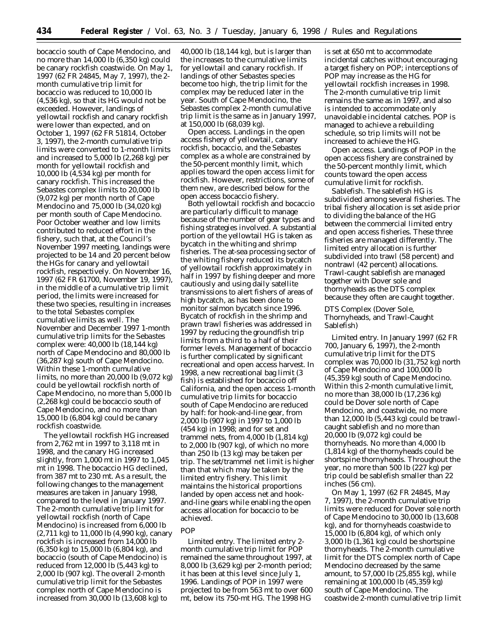bocaccio south of Cape Mendocino, and no more than 14,000 lb (6,350 kg) could be canary rockfish coastwide. On May 1, 1997 (62 FR 24845, May 7, 1997), the 2 month cumulative trip limit for bocaccio was reduced to 10,000 lb (4,536 kg), so that its HG would not be exceeded. However, landings of yellowtail rockfish and canary rockfish were lower than expected, and on October 1, 1997 (62 FR 51814, October 3, 1997), the 2-month cumulative trip limits were converted to 1-month limits and increased to 5,000 lb (2,268 kg) per month for yellowtail rockfish and 10,000 lb (4,534 kg) per month for canary rockfish. This increased the *Sebastes* complex limits to 20,000 lb (9,072 kg) per month north of Cape Mendocino and 75,000 lb (34,020 kg) per month south of Cape Mendocino. Poor October weather and low limits contributed to reduced effort in the fishery, such that, at the Council's November 1997 meeting, landings were projected to be 14 and 20 percent below the HGs for canary and yellowtail rockfish, respectively. On November 16, 1997 (62 FR 61700, November 19, 1997), in the middle of a cumulative trip limit period, the limits were increased for these two species, resulting in increases to the total *Sebastes* complex cumulative limits as well. The November and December 1997 1-month cumulative trip limits for the *Sebastes* complex were: 40,000 lb (18,144 kg) north of Cape Mendocino and 80,000 lb (36,287 kg) south of Cape Mendocino. Within these 1-month cumulative limits, no more than 20,000 lb (9,072 kg) could be yellowtail rockfish north of Cape Mendocino, no more than 5,000 lb (2,268 kg) could be bocaccio south of Cape Mendocino, and no more than 15,000 lb (6,804 kg) could be canary rockfish coastwide.

The yellowtail rockfish HG increased from 2,762 mt in 1997 to 3,118 mt in 1998, and the canary HG increased slightly, from 1,000 mt in 1997 to 1,045 mt in 1998. The bocaccio HG declined, from 387 mt to 230 mt. As a result, the following changes to the management measures are taken in January 1998, compared to the level in January 1997. The 2-month cumulative trip limit for yellowtail rockfish (north of Cape Mendocino) is increased from 6,000 lb (2,711 kg) to 11,000 lb (4,990 kg), canary rockfish is increased from 14,000 lb (6,350 kg) to 15,000 lb (6,804 kg), and bocaccio (south of Cape Mendocino) is reduced from 12,000 lb (5,443 kg) to 2,000 lb (907 kg). The overall 2-month cumulative trip limit for the *Sebastes* complex north of Cape Mendocino is increased from 30,000 lb (13,608 kg) to

40,000 lb (18,144 kg), but is larger than the increases to the cumulative limits for yellowtail and canary rockfish. If landings of other *Sebastes* species become too high, the trip limit for the complex may be reduced later in the year. South of Cape Mendocino, the *Sebastes* complex 2-month cumulative trip limit is the same as in January 1997, at 150,000 lb (68,039 kg).

*Open access.* Landings in the open access fishery of yellowtail, canary rockfish, bocaccio, and the Sebastes complex as a whole are constrained by the 50-percent monthly limit, which applies toward the open access limit for rockfish. However, restrictions, some of them new, are described below for the open access bocaccio fishery.

Both yellowtail rockfish and bocaccio are particularly difficult to manage because of the number of gear types and fishing strategies involved. A substantial portion of the yellowtail HG is taken as bycatch in the whiting and shrimp fisheries. The at-sea processing sector of the whiting fishery reduced its bycatch of yellowtail rockfish approximately in half in 1997 by fishing deeper and more cautiously and using daily satellite transmissions to alert fishers of areas of high bycatch, as has been done to monitor salmon bycatch since 1996. Bycatch of rockfish in the shrimp and prawn trawl fisheries was addressed in 1997 by reducing the groundfish trip limits from a third to a half of their former levels. Management of bocaccio is further complicated by significant recreational and open access harvest. In 1998, a new recreational bag limit (3 fish) is established for bocaccio off California, and the open access 1-month cumulative trip limits for bocaccio south of Cape Mendocino are reduced by half: for hook-and-line gear, from 2,000 lb (907 kg) in 1997 to 1,000 lb (454 kg) in 1998; and for set and trammel nets, from 4,000 lb (1,814 kg) to 2,000 lb (907 kg), of which no more than 250 lb (13 kg) may be taken per trip. The set/trammel net limit is higher than that which may be taken by the limited entry fishery. This limit maintains the historical proportions landed by open access net and hookand-line gears while enabling the open access allocation for bocaccio to be achieved.

# POP

*Limited entry.* The limited entry 2 month cumulative trip limit for POP remained the same throughout 1997, at 8,000 lb (3,629 kg) per 2-month period; it has been at this level since July 1, 1996. Landings of POP in 1997 were projected to be from 563 mt to over 600 mt, below its 750-mt HG. The 1998 HG

is set at 650 mt to accommodate incidental catches without encouraging a target fishery on POP; interceptions of POP may increase as the HG for yellowtail rockfish increases in 1998. The 2-month cumulative trip limit remains the same as in 1997, and also is intended to accommodate only unavoidable incidental catches. POP is managed to achieve a rebuilding schedule, so trip limits will not be increased to achieve the HG.

*Open access.* Landings of POP in the open access fishery are constrained by the 50-percent monthly limit, which counts toward the open access cumulative limit for rockfish.

*Sablefish.* The sablefish HG is subdivided among several fisheries. The tribal fishery allocation is set aside prior to dividing the balance of the HG between the commercial limited entry and open access fisheries. These three fisheries are managed differently. The limited entry allocation is further subdivided into trawl (58 percent) and nontrawl (42 percent) allocations. Trawl-caught sablefish are managed together with Dover sole and thornyheads as the DTS complex because they often are caught together.

DTS Complex (Dover Sole, Thornyheads, and Trawl-Caught Sablefish)

*Limited entry.* In January 1997 (62 FR 700, January 6, 1997), the 2-month cumulative trip limit for the DTS complex was 70,000 lb (31,752 kg) north of Cape Mendocino and 100,000 lb (45,359 kg) south of Cape Mendocino. Within this 2-month cumulative limit, no more than 38,000 lb (17,236 kg) could be Dover sole north of Cape Mendocino, and coastwide, no more than 12,000 lb (5,443 kg) could be trawlcaught sablefish and no more than 20,000 lb (9,072 kg) could be thornyheads. No more than 4,000 lb (1,814 kg) of the thornyheads could be shortspine thornyheads. Throughout the year, no more than 500 lb (227 kg) per trip could be sablefish smaller than 22 inches (56 cm).

On May 1, 1997 (62 FR 24845, May 7, 1997), the 2-month cumulative trip limits were reduced for Dover sole north of Cape Mendocino to 30,000 lb (13,608 kg), and for thornyheads coastwide to 15,000 lb (6,804 kg), of which only 3,000 lb (1,361 kg) could be shortspine thornyheads. The 2-month cumulative limit for the DTS complex north of Cape Mendocino decreased by the same amount, to 57,000 lb (25,855 kg), while remaining at 100,000 lb (45,359 kg) south of Cape Mendocino. The coastwide 2-month cumulative trip limit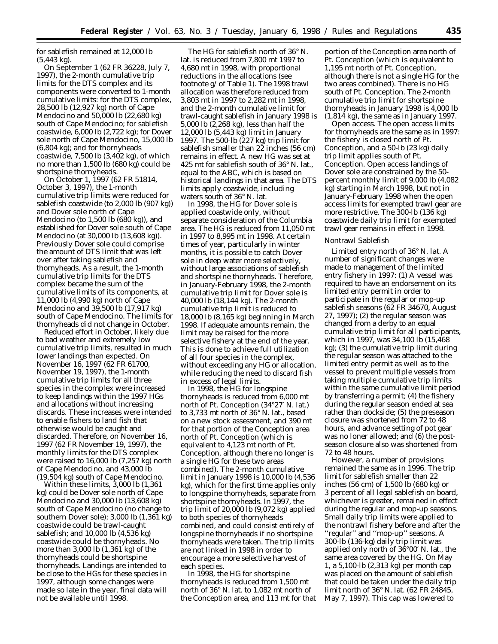for sablefish remained at 12,000 lb (5,443 kg).

On September 1 (62 FR 36228, July 7, 1997), the 2-month cumulative trip limits for the DTS complex and its components were converted to 1-month cumulative limits: for the DTS complex, 28,500 lb (12,927 kg) north of Cape Mendocino and 50,000 lb (22,680 kg) south of Cape Mendocino; for sablefish coastwide, 6,000 lb (2,722 kg); for Dover sole north of Cape Mendocino, 15,000 lb (6,804 kg); and for thornyheads coastwide, 7,500 lb (3,402 kg), of which no more than 1,500 lb (680 kg) could be shortspine thornyheads.

On October 1, 1997 (62 FR 51814, October 3, 1997), the 1-month cumulative trip limits were reduced for sablefish coastwide (to 2,000 lb (907 kg)) and Dover sole north of Cape Mendocino (to 1,500 lb (680 kg)), and established for Dover sole south of Cape Mendocino (at 30,000 lb (13,608 kg)). Previously Dover sole could comprise the amount of DTS limit that was left over after taking sablefish and thornyheads. As a result, the 1-month cumulative trip limits for the DTS complex became the sum of the cumulative limits of its components, at 11,000 lb (4,990 kg) north of Cape Mendocino and 39,500 lb (17,917 kg) south of Cape Mendocino. The limits for thornyheads did not change in October.

Reduced effort in October, likely due to bad weather and extremely low cumulative trip limits, resulted in much lower landings than expected. On November 16, 1997 (62 FR 61700, November 19, 1997), the 1-month cumulative trip limits for all three species in the complex were increased to keep landings within the 1997 HGs and allocations without increasing discards. These increases were intended to enable fishers to land fish that otherwise would be caught and discarded. Therefore, on November 16, 1997 (62 FR November 19, 1997), the monthly limits for the DTS complex were raised to 16,000 lb (7,257 kg) north of Cape Mendocino, and 43,000 lb (19,504 kg) south of Cape Mendocino.

Within these limits, 3,000 lb (1,361 kg) could be Dover sole north of Cape Mendocino and 30,000 lb (13,608 kg) south of Cape Mendocino (no change to southern Dover sole); 3,000 lb (1,361 kg) coastwide could be trawl-caught sablefish; and 10,000 lb (4,536 kg) coastwide could be thornyheads. No more than 3,000 lb (1,361 kg) of the thornyheads could be shortspine thornyheads. Landings are intended to be close to the HGs for these species in 1997, although some changes were made so late in the year, final data will not be available until 1998.

The HG for sablefish north of 36° N. lat. is reduced from 7,800 mt 1997 to 4,680 mt in 1998, with proportional reductions in the allocations (see footnote g/ of Table 1). The 1998 trawl allocation was therefore reduced from 3,803 mt in 1997 to 2,282 mt in 1998, and the 2-month cumulative limit for trawl-caught sablefish in January 1998 is 5,000 lb (2,268 kg), less than half the 12,000 lb (5,443 kg) limit in January 1997. The 500-lb (227 kg) trip limit for sablefish smaller than 22 inches (56 cm) remains in effect. A new HG was set at 425 mt for sablefish south of 36° N. lat., equal to the ABC, which is based on historical landings in that area. The DTS limits apply coastwide, including waters south of 36° N. lat.

In 1998, the HG for Dover sole is applied coastwide only, without separate consideration of the Columbia area. The HG is reduced from 11,050 mt in 1997 to 8,995 mt in 1998. At certain times of year, particularly in winter months, it is possible to catch Dover sole in deep water more selectively, without large associations of sablefish and shortspine thornyheads. Therefore, in January-February 1998, the 2-month cumulative trip limit for Dover sole is 40,000 lb (18,144 kg). The 2-month cumulative trip limit is reduced to 18,000 lb (8,165 kg) beginning in March 1998. If adequate amounts remain, the limit may be raised for the more selective fishery at the end of the year. This is done to achieve full utilization of all four species in the complex, without exceeding any HG or allocation, while reducing the need to discard fish in excess of legal limits.

In 1998, the HG for longspine thornyheads is reduced from 6,000 mt north of Pt. Conception (34°27′ N. lat.) to 3,733 mt north of 36° N. lat., based on a new stock assessment, and 390 mt for that portion of the Conception area north of Pt. Conception (which is equivalent to 4,123 mt north of Pt. Conception, although there no longer is a single HG for these two areas combined). The 2-month cumulative limit in January 1998 is 10,000 lb (4,536 kg), which for the first time applies only to longspine thornyheads, separate from shortspine thornyheads. In 1997, the trip limit of 20,000 lb (9,072 kg) applied to both species of thornyheads combined, and could consist entirely of longspine thornyheads if no shortspine thornyheads were taken. The trip limits are not linked in 1998 in order to encourage a more selective harvest of each species.

In 1998, the HG for shortspine thornyheads is reduced from 1,500 mt north of 36° N. lat. to 1,082 mt north of the Conception area, and 113 mt for that

portion of the Conception area north of Pt. Conception (which is equivalent to 1,195 mt north of Pt. Conception, although there is not a single HG for the two areas combined). There is no HG south of Pt. Conception. The 2-month cumulative trip limit for shortspine thornyheads in January 1998 is 4,000 lb (1,814 kg), the same as in January 1997.

*Open access.* The open access limits for thornyheads are the same as in 1997: the fishery is closed north of Pt. Conception, and a 50-lb (23 kg) daily trip limit applies south of Pt. Conception. Open access landings of Dover sole are constrained by the 50 percent monthly limit of 9,000 lb (4,082 kg) starting in March 1998, but not in January-February 1998 when the open access limits for exempted trawl gear are more restrictive. The 300-lb (136 kg) coastwide daily trip limit for exempted trawl gear remains in effect in 1998.

#### Nontrawl Sablefish

*Limited entry north of 36*° *N. lat.* A number of significant changes were made to management of the limited entry fishery in 1997: (1) A vessel was required to have an endorsement on its limited entry permit in order to participate in the regular or mop-up sablefish seasons (62 FR 34670, August 27, 1997); (2) the regular season was changed from a derby to an equal cumulative trip limit for all participants, which in 1997, was 34,100 lb (15,468 kg); (3) the cumulative trip limit during the regular season was attached to the limited entry permit as well as to the vessel to prevent multiple vessels from taking multiple cumulative trip limits within the same cumulative limit period by transferring a permit; (4) the fishery during the regular season ended at sea rather than dockside; (5) the preseason closure was shortened from 72 to 48 hours, and advance setting of pot gear was no loner allowed; and (6) the postseason closure also was shortened from 72 to 48 hours.

However, a number of provisions remained the same as in 1996. The trip limit for sablefish smaller than 22 inches (56 cm) of 1,500 lb (680 kg) or 3 percent of all legal sablefish on board, whichever is greater, remained in effect during the regular and mop-up seasons. Small daily trip limits were applied to the nontrawl fishery before and after the ''regular'' and ''mop-up'' seasons. A 300-lb (136-kg) daily trip limit was applied only north of 36°00′ N. lat., the same area covered by the HG. On May 1, a 5,100-lb (2,313 kg) per month cap was placed on the amount of sablefish that could be taken under the daily trip limit north of 36° N. lat. (62 FR 24845, May 7, 1997). This cap was lowered to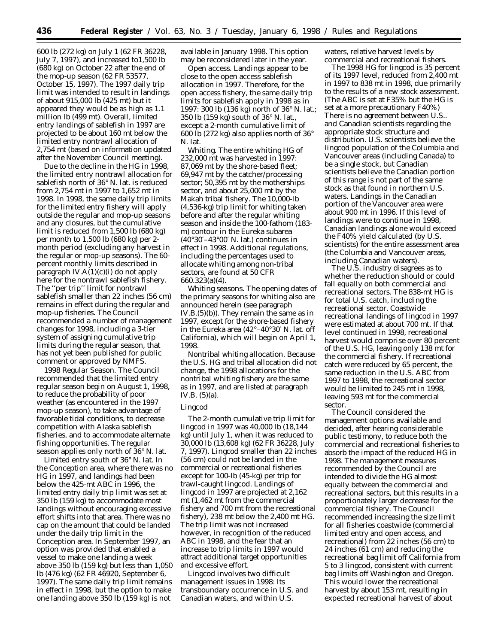600 lb (272 kg) on July 1 (62 FR 36228, July 7, 1997), and increased to1,500 lb (680 kg) on October 22 after the end of the mop-up season (62 FR 53577, October 15, 1997). The 1997 daily trip limit was intended to result in landings of about 915,000 lb (425 mt) but it appeared they would be as high as 1.1 million lb (499 mt). Overall, limited entry landings of sablefish in 1997 are projected to be about 160 mt below the limited entry nontrawl allocation of 2,754 mt (based on information updated after the November Council meeting).

Due to the decline in the HG in 1998, the limited entry nontrawl allocation for sablefish north of 36° N. lat. is reduced from 2,754 mt in 1997 to 1,652 mt in 1998. In 1998, the same daily trip limits for the limited entry fishery will apply outside the regular and mop-up seasons and any closures, but the cumulative limit is reduced from 1,500 lb (680 kg) per month to 1,500 lb (680 kg) per 2 month period (excluding any harvest in the regular or mop-up seasons). The 60 percent monthly limits described in paragraph IV. $A(1)(c)(i)$  do not apply here for the nontrawl sablefish fishery. The ''per trip'' limit for nontrawl sablefish smaller than 22 inches (56 cm) remains in effect during the regular and mop-up fisheries. The Council recommended a number of management changes for 1998, including a 3-tier system of assigning cumulative trip limits during the regular season, that has not yet been published for public comment or approved by NMFS.

*1998 Regular Season.* The Council recommended that the limited entry regular season begin on August 1, 1998, to reduce the probability of poor weather (as encountered in the 1997 mop-up season), to take advantage of favorable tidal conditions, to decrease competition with Alaska sablefish fisheries, and to accommodate alternate fishing opportunities. The regular season applies only north of 36° N. lat.

*Limited entry south of 36*° *N. lat.* In the Conception area, where there was no HG in 1997, and landings had been below the 425-mt ABC in 1996, the limited entry daily trip limit was set at 350 lb (159 kg) to accommodate most landings without encouraging excessive effort shifts into that area. There was no cap on the amount that could be landed under the daily trip limit in the Conception area. In September 1997, an option was provided that enabled a vessel to make one landing a week above 350 lb (159 kg) but less than 1,050 lb (476 kg) (62 FR 46920, September 6, 1997). The same daily trip limit remains in effect in 1998, but the option to make one landing above 350 lb (159 kg) is not

available in January 1998. This option may be reconsidered later in the year.

*Open access.* Landings appear to be close to the open access sablefish allocation in 1997. Therefore, for the open access fishery, the same daily trip limits for sablefish apply in 1998 as in 1997: 300 lb (136 kg) north of 36° N. lat.; 350 lb (159 kg) south of 36° N. lat., except a 2-month cumulative limit of 600 lb (272 kg) also applies north of 36° N. lat.

*Whiting.* The entire whiting HG of 232,000 mt was harvested in 1997: 87,069 mt by the shore-based fleet; 69,947 mt by the catcher/processing sector; 50,395 mt by the motherships sector, and about 25,000 mt by the Makah tribal fishery. The 10,000-lb (4,536-kg) trip limit for whiting taken before and after the regular whiting season and inside the 100-fathom (183 m) contour in the Eureka subarea (40°30′–43°00′ N. lat.) continues in effect in 1998. Additional regulations, including the percentages used to allocate whiting among non-tribal sectors, are found at 50 CFR 660.323(a)(4).

*Whiting seasons.* The opening dates of the primary seasons for whiting also are announced herein (see paragraph IV.B.(5)(b)). They remain the same as in 1997, except for the shore-based fishery in the Eureka area (42°–40°30′ N. lat. off California), which will begin on April 1, 1998.

*Nontribal whiting allocation.* Because the U.S. HG and tribal allocation did not change, the 1998 allocations for the nontribal whiting fishery are the same as in 1997, and are listed at paragraph IV.B. (5)(a).

### Lingcod

The 2-month cumulative trip limit for lingcod in 1997 was 40,000 lb (18,144 kg) until July 1, when it was reduced to 30,000 lb (13,608 kg) (62 FR 36228, July 7, 1997). Lingcod smaller than 22 inches (56 cm) could not be landed in the commercial or recreational fisheries except for 100-lb (45-kg) per trip for trawl-caught lingcod. Landings of lingcod in 1997 are projected at 2,162 mt (1,462 mt from the commercial fishery and 700 mt from the recreational fishery), 238 mt below the 2,400 mt HG. The trip limit was not increased however, in recognition of the reduced ABC in 1998, and the fear that an increase to trip limits in 1997 would attract additional target opportunities and excessive effort.

Lingcod involves two difficult management issues in 1998: Its transboundary occurrence in U.S. and Canadian waters, and within U.S.

waters, relative harvest levels by commercial and recreational fishers.

The 1998 HG for lingcod is 35 percent of its 1997 level, reduced from 2,400 mt in 1997 to 838 mt in 1998, due primarily to the results of a new stock assessment. (The ABC is set at F35% but the HG is set at a more precautionary F40%) There is no agreement between U.S.. and Canadian scientists regarding the appropriate stock structure and distribution. U.S. scientists believe the lingcod population of the Columbia and Vancouver areas (including Canada) to be a single stock, but Canadian scientists believe the Canadian portion of this range is not part of the same stock as that found in northern U.S. waters. Landings in the Canadian portion of the Vancouver area were about 900 mt in 1996. If this level of landings were to continue in 1998, Canadian landings alone would exceed the F40% yield calculated (by U.S. scientists) for the entire assessment area (the Columbia and Vancouver areas, including Canadian waters).

The U.S. industry disagrees as to whether the reduction should or could fall equally on both commercial and recreational sectors. The 838-mt HG is for total U.S. catch, including the recreational sector. Coastwide recreational landings of lingcod in 1997 were estimated at about 700 mt. If that level continued in 1998, recreational harvest would comprise over 80 percent of the U.S. HG, leaving only 138 mt for the commercial fishery. If recreational catch were reduced by 65 percent, the same reduction in the U.S. ABC from 1997 to 1998, the recreational sector would be limited to 245 mt in 1998, leaving 593 mt for the commercial sector.

The Council considered the management options available and decided, after hearing considerable public testimony, to reduce both the commercial and recreational fisheries to absorb the impact of the reduced HG in 1998. The management measures recommended by the Council are intended to divide the HG almost equally between the commercial and recreational sectors, but this results in a proportionately larger decrease for the commercial fishery. The Council recommended increasing the size limit for all fisheries coastwide (commercial limited entry and open access, and recreational) from 22 inches (56 cm) to 24 inches (61 cm) and reducing the recreational bag limit off California from 5 to 3 lingcod, consistent with current bag limits off Washington and Oregon. This would lower the recreational harvest by about 153 mt, resulting in expected recreational harvest of about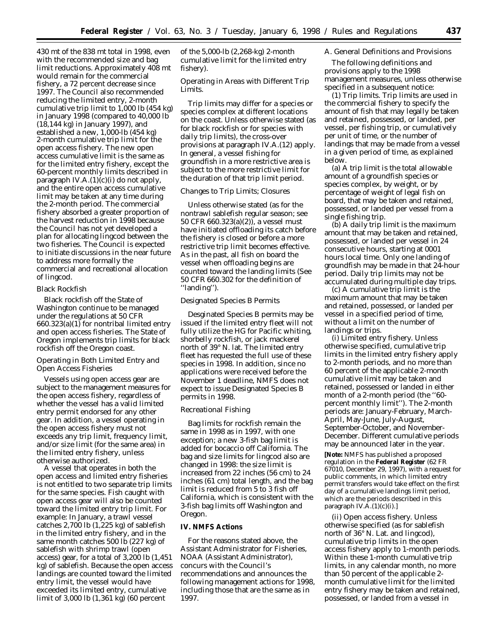430 mt of the 838 mt total in 1998, even with the recommended size and bag limit reductions. Approximately 408 mt would remain for the commercial fishery, a 72 percent decrease since 1997. The Council also recommended reducing the limited entry, 2-month cumulative trip limit to 1,000 lb (454 kg) in January 1998 (compared to 40,000 lb (18,144 kg) in January 1997), and established a new, 1,000-lb (454 kg) 2-month cumulative trip limit for the open access fishery. The new open access cumulative limit is the same as for the limited entry fishery, except the 60-percent monthly limits described in paragraph IV.A. $(1)(c)(i)$  do not apply, and the entire open access cumulative limit may be taken at any time during the 2-month period. The commercial fishery absorbed a greater proportion of the harvest reduction in 1998 because the Council has not yet developed a plan for allocating lingcod between the two fisheries. The Council is expected to initiate discussions in the near future to address more formally the commercial and recreational allocation of lingcod.

### Black Rockfish

Black rockfish off the State of Washington continue to be managed under the regulations at 50 CFR 660.323(a)(1) for nontribal limited entry and open access fisheries. The State of Oregon implements trip limits for black rockfish off the Oregon coast.

# *Operating in Both Limited Entry and Open Access Fisheries*

Vessels using open access gear are subject to the management measures for the open access fishery, regardless of whether the vessel has a valid limited entry permit endorsed for any other gear. In addition, a vessel operating in the open access fishery must not exceeds any trip limit, frequency limit, and/or size limit (for the same area) in the limited entry fishery, unless otherwise authorized.

A vessel that operates in both the open access and limited entry fisheries is not entitled to two separate trip limits for the same species. Fish caught with open access gear will also be counted toward the limited entry trip limit. For example: In January, a trawl vessel catches 2,700 lb (1,225 kg) of sablefish in the limited entry fishery, and in the same month catches 500 lb (227 kg) of sablefish with shrimp trawl (open access) gear, for a total of 3,200 lb (1,451 kg) of sablefish. Because the open access landings are counted toward the limited entry limit, the vessel would have exceeded its limited entry, cumulative limit of 3,000 lb (1,361 kg) (60 percent

of the 5,000-lb (2,268-kg) 2-month cumulative limit for the limited entry fishery).

## *Operating in Areas with Different Trip Limits.*

Trip limits may differ for a species or species complex at different locations on the coast. Unless otherwise stated (as for black rockfish or for species with daily trip limits), the cross-over provisions at paragraph IV.A.(12) apply. In general, a vessel fishing for groundfish in a more restrictive area is subject to the more restrictive limit for the duration of that trip limit period.

## *Changes to Trip Limits; Closures*

Unless otherwise stated (as for the nontrawl sablefish regular season; see 50 CFR 660.323(a)(2)), a vessel must have initiated offloading its catch before the fishery is closed or before a more restrictive trip limit becomes effective. As in the past, all fish on board the vessel when offloading begins are counted toward the landing limits (See 50 CFR 660.302 for the definition of ''landing'').

## *Designated Species B Permits*

Desginated Species B permits may be issued if the limited entry fleet will not fully utilize the HG for Pacific whiting, shorbelly rockfish, or jack mackerel north of 39° N. lat. The limited entry fleet has requested the full use of these species in 1998. In addition, since no applications were received before the November 1 deadline, NMFS does not expect to issue Designated Species B permits in 1998.

## *Recreational Fishing*

Bag limits for rockfish remain the same in 1998 as in 1997, with one exception; a new 3-fish bag limit is added for bocaccio off California. The bag and size limits for lingcod also are changed in 1998: the size limit is increased from 22 inches (56 cm) to 24 inches (61 cm) total length, and the bag limit is reduced from 5 to 3 fish off California, which is consistent with the 3-fish bag limits off Washington and Oregon.

## **IV. NMFS Actions**

For the reasons stated above, the Assistant Administrator for Fisheries, NOAA (Assistant Administrator), concurs with the Council's recommendations and announces the following management actions for 1998, including those that are the same as in 1997.

#### *A. General Definitions and Provisions*

The following definitions and provisions apply to the 1998 management measures, unless otherwise specified in a subsequent notice:

(1) *Trip limits.* Trip limits are used in the commercial fishery to specify the amount of fish that may legally be taken and retained, possessed, or landed, per vessel, per fishing trip, or cumulatively per unit of time, or the number of landings that may be made from a vessel in a given period of time, as explained below.

(a) *A trip limit* is the total allowable amount of a groundfish species or species complex, by weight, or by percentage of weight of legal fish on board, that may be taken and retained, possessed, or landed per vessel from a single fishing trip.

(b) *A daily trip limit* is the maximum amount that may be taken and retained, possessed, or landed per vessel in 24 consecutive hours, starting at 0001 hours local time. Only one landing of groundfish may be made in that 24-hour period. Daily trip limits may not be accumulated during multiple day trips.

(c) *A cumulative trip limit* is the maximum amount that may be taken and retained, possessed, or landed per vessel in a specified period of time, without a limit on the number of landings or trips.

(i) *Limited entry fishery.* Unless otherwise specified, cumulative trip limits in the limited entry fishery apply to 2-month periods, and no more than 60 percent of the applicable 2-month cumulative limit may be taken and retained, possessed or landed in either month of a 2-month period (the ''60 percent monthly limit''). The 2-month periods are: January-February, March-April, May-June, July-August, September-October, and November-December. Different cumulative periods may be announced later in the year.

**[Note:** NMFS has published a proposed regulation in the **Federal Register** (62 FR 67010, December 29, 1997), with a request for public comments, in which limited entry permit transfers would take effect on the first day of a cumulative landings limit period, which are the periods described in this paragraph IV.A.(1)(c)(i).]

(ii) *Open access fishery.* Unless otherwise specified (as for sablefish north of 36° N. Lat. and lingcod), cumulative trip limits in the open access fishery apply to 1-month periods. Within these 1-month cumulative trip limits, in any calendar month, no more than 50 percent of the applicable 2 month cumulative limit for the limited entry fishery may be taken and retained, possessed, or landed from a vessel in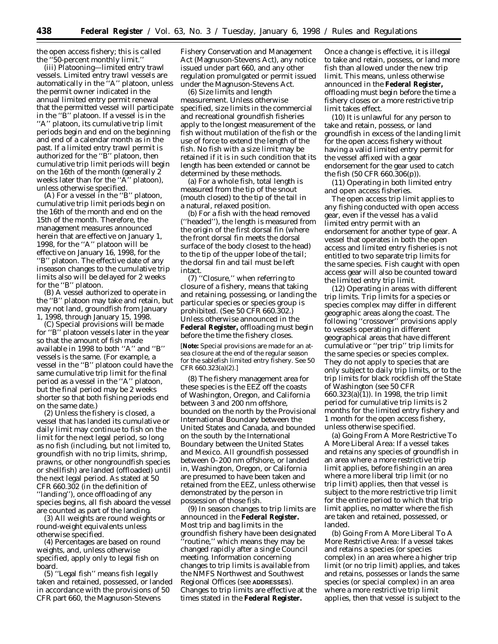the open access fishery; this is called the ''50-percent monthly limit.''

(iii) *Platooning—limited entry trawl vessels.* Limited entry trawl vessels are automatically in the ''A'' platoon, unless the permit owner indicated in the annual limited entry permit renewal that the permitted vessel will participate in the ''B'' platoon. If a vessel is in the ''A'' platoon, its cumulative trip limit periods begin and end on the beginning and end of a calendar month as in the past. If a limited entry trawl permit is authorized for the ''B'' platoon, then cumulative trip limit periods will begin on the 16th of the month (generally 2 weeks later than for the ''A'' platoon), unless otherwise specified.

(A) For a vessel in the ''B'' platoon, cumulative trip limit periods begin on the 16th of the month and end on the 15th of the month. Therefore, the management measures announced herein that are effective on January 1, 1998, for the ''A'' platoon will be effective on January 16, 1998, for the ''B'' platoon. The effective date of any inseason changes to the cumulative trip limits also will be delayed for 2 weeks for the ''B'' platoon.

(B) A vessel authorized to operate in the ''B'' platoon may take and retain, but may not land, groundfish from January 1, 1998, through January 15, 1998.

(C) Special provisions will be made for ''B'' platoon vessels later in the year so that the amount of fish made available in 1998 to both ''A'' and ''B'' vessels is the same. (For example, a vessel in the ''B'' platoon could have the same cumulative trip limit for the final period as a vessel in the ''A'' platoon, but the final period may be 2 weeks shorter so that both fishing periods end on the same date.)

(2) Unless the fishery is closed, a vessel that has landed its cumulative or daily limit may continue to fish on the limit for the next legal period, so long as no fish (including, but not limited to, groundfish with no trip limits, shrimp, prawns, or other nongroundfish species or shellfish) are landed (offloaded) until the next legal period. As stated at 50 CFR 660.302 (in the definition of ''landing''), once offloading of any species begins, all fish aboard the vessel are counted as part of the landing.

(3) All weights are round weights or round-weight equivalents unless otherwise specified.

(4) Percentages are based on round weights, and, unless otherwise specified, apply only to legal fish on board.

(5) ''Legal fish'' means fish legally taken and retained, possessed, or landed in accordance with the provisions of 50 CFR part 660, the Magnuson-Stevens

Fishery Conservation and Management Act (Magnuson-Stevens Act), any notice issued under part 660, and any other regulation promulgated or permit issued under the Magnuson-Stevens Act.

(6) *Size limits and length measurement.* Unless otherwise specified, size limits in the commercial and recreational groundfish fisheries apply to the longest measurement of the fish without mutilation of the fish or the use of force to extend the length of the fish. No fish with a size limit may be retained if it is in such condition that its length has been extended or cannot be determined by these methods.

(a) For a whole fish, total length is measured from the tip of the snout (mouth closed) to the tip of the tail in a natural, relaxed position.

(b) For a fish with the head removed (''headed''), the length is measured from the origin of the first dorsal fin (where the front dorsal fin meets the dorsal surface of the body closest to the head) to the tip of the upper lobe of the tail; the dorsal fin and tail must be left intact.

(7) ''Closure,'' when referring to closure of a fishery, means that taking and retaining, possessing, or landing the particular species or species group is prohibited. (See 50 CFR 660.302.) Unless otherwise announced in the **Federal Register,** offloading must begin before the time the fishery closes.

[**Note:** Special provisions are made for an atsea closure at the end of the regular season for the sablefish limited entry fishery. See 50 CFR 660.323(a)(2).]

(8) The fishery management area for these species is the EEZ off the coasts of Washington, Oregon, and California between 3 and 200 nm offshore, bounded on the north by the Provisional International Boundary between the United States and Canada, and bounded on the south by the International Boundary between the United States and Mexico. All groundfish possessed between 0–200 nm offshore, or landed in, Washington, Oregon, or California are presumed to have been taken and retained from the EEZ, unless otherwise demonstrated by the person in possession of those fish.

(9) In season changes to trip limits are announced in the **Federal Register.** Most trip and bag limits in the groundfish fishery have been designated 'routine," which means they may be changed rapidly after a single Council meeting. Information concerning changes to trip limits is available from the NMFS Northwest and Southwest Regional Offices (see **ADDRESSES**). Changes to trip limits are effective at the times stated in the **Federal Register.**

Once a change is effective, it is illegal to take and retain, possess, or land more fish than allowed under the new trip limit. This means, unless otherwise announced in the **Federal Register,** offloading must begin before the time a fishery closes or a more restrictive trip limit takes effect.

(10) It is unlawful for any person to take and retain, possess, or land groundfish in excess of the landing limit for the open access fishery without having a valid limited entry permit for the vessel affixed with a gear endorsement for the gear used to catch the fish (50 CFR 660.306(p)).

(11) *Operating in both limited entry and open access fisheries.*

The open access trip limit applies to any fishing conducted with open access gear, even if the vessel has a valid limited entry permit with an endorsement for another type of gear. A vessel that operates in both the open access and limited entry fisheries is not entitled to two separate trip limits for the same species. Fish caught with open access gear will also be counted toward the limited entry trip limit.

(12) *Operating in areas with different trip limits.* Trip limits for a species or species complex may differ in different geographic areas along the coast. The following ''crossover'' provisions apply to vessels operating in different geographical areas that have different cumulative or ''per trip'' trip limits for the same species or species complex. They do not apply to species that are only subject to daily trip limits, or to the trip limits for black rockfish off the State of Washington (see 50 CFR 660.323(a)(1)). In 1998, the trip limit period for cumulative trip limits is 2 months for the limited entry fishery and 1 month for the open access fishery, unless otherwise specified.

(a) *Going From A More Restrictive To A More Liberal Area:* If a vessel takes and retains any species of groundfish in an area where a more restrictive trip limit applies, before fishing in an area where a more liberal trip limit (or no trip limit) applies, then that vessel is subject to the more restrictive trip limit for the entire period to which that trip limit applies, no matter where the fish are taken and retained, possessed, or landed.

(b) *Going From A More Liberal To A More Restrictive Area:* If a vessel takes and retains a species (or species complex) in an area where a higher trip limit (or no trip limit) applies, and takes and retains, possesses or lands the same species (or special complex) in an area where a more restrictive trip limit applies, then that vessel is subject to the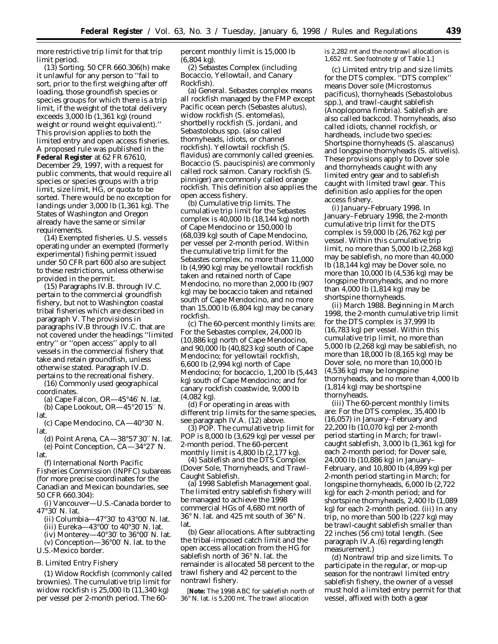more restrictive trip limit for that trip limit period.

(13) *Sorting.* 50 CFR 660.306(h) make it unlawful for any person to ''fail to sort, prior to the first weighing after off loading, those groundfish species or species groups for which there is a trip limit, if the weight of the total delivery exceeds 3,000 lb (1,361 kg) (round weight or round weight equivalent).'' This provision applies to both the limited entry and open access fisheries. A proposed rule was published in the **Federal Register** at 62 FR 67610, December 29, 1997, with a request for public comments, that would require all species or species groups with a trip limit, size limit, HG, or quota to be sorted. There would be no exception for landings under 3,000 lb (1,361 kg). The States of Washington and Oregon already have the same or similar requirements.

(14) *Exempted fisheries.* U.S. vessels operating under an exempted (formerly experimental) fishing permit issued under 50 CFR part 600 also are subject to these restrictions, unless otherwise provided in the permit.

(15) Paragraphs IV.B. through IV.C. pertain to the commercial groundfish fishery, but not to Washington coastal tribal fisheries which are described in paragraph V. The provisions in paragraphs IV.B through IV.C. that are not covered under the headings ''limited entry'' or ''open access'' apply to all vessels in the commercial fishery that take and retain groundfish, unless otherwise stated. Paragraph IV.D. pertains to the recreational fishery.

(16) *Commonly used geographical coordinates.*

(a) Cape Falcon, OR—45°46′ N. lat. (b) Cape Lookout, OR—45°20′15′′ N. lat.

(c) Cape Mendocino, CA—40°30′ N. lat.

(d) Point Arena, CA—38°57′30′′ N. lat. (e) Point Conception, CA—34°27′ N. lat.

(f) International North Pacific Fisheries Commission (INPFC) subareas (for more precise coordinates for the Canadian and Mexican boundaries, see 50 CFR 660.304):

(i) Vancouver—U.S.-Canada border to 47°30′ N. lat.

- (ii) Columbia—47°30′ to 43°00′ N. lat.
- (iii) Eureka—43°00′ to 40°30′ N. lat.
- (iv) Monterey—40 $\degree 30'$  to 36 $\degree 00'$  N. lat.
- (v) Conception—36°00′ N. lat. to the U.S.-Mexico border.

## *B. Limited Entry Fishery*

(1) *Widow Rockfish* (commonly called brownies). The cumulative trip limit for widow rockfish is 25,000 lb (11,340 kg) per vessel per 2-month period. The 60percent monthly limit is 15,000 lb (6,804 kg).

(2) *Sebastes Complex (including Bocaccio, Yellowtail, and Canary Rockfish).*

(a) *General. Sebastes* complex means all rockfish managed by the FMP except Pacific ocean perch (*Sebastes alutus*), widow rockfish (*S. entomelas*), shortbelly rockfish (*S. jordani*, and *Sebastolobus* spp. (also called thornyheads, idiots, or channel rockfish). Yellowtail rockfish (*S. flavidus*) are commonly called greenies. Bocaccio (*S. paucispinis*) are commonly called rock salmon. Canary rockfish (*S. pinniger*) are commonly called orange rockfish. This definition also applies the open access fishery.

(b) *Cumulative trip limits.* The cumulative trip limit for the *Sebastes* complex is 40,000 lb (18,144 kg) north of Cape Mendocino or 150,000 lb (68,039 kg) south of Cape Mendocino, per vessel per 2-month period. Within the cumulative trip limit for the *Sebastes* complex, no more than 11,000 lb (4,990 kg) may be yellowtail rockfish taken and retained north of Cape Mendocino, no more than 2,000 lb (907 kg) may be bocaccio taken and retained south of Cape Mendocino, and no more than 15,000 lb (6,804 kg) may be canary rockfish.

(c) The 60-percent monthly limits are: For the *Sebastes* complex, 24,000 lb (10,886 kg) north of Cape Mendocino, and 90,000 lb (40,823 kg) south of Cape Mendocino; for yellowtail rockfish, 6,600 lb (2,994 kg) north of Cape Mendocino; for bocaccio, 1,200 lb (5,443 kg) south of Cape Mendocino; and for canary rockfish coastwide, 9,000 lb (4,082 kg).

(d) For operating in areas with different trip limits for the same species, see paragraph IV.A. (12) above.

(3) *POP.* The cumulative trip limit for POP is 8,000 lb (3,629 kg) per vessel per 2-month period. The 60-percent monthly limit is 4,800 lb (2,177 kg).

(4) *Sablefish and the DTS Complex (Dover Sole, Thornyheads, and Trawl-Caught Sablefish.*

(a) *1998 Sablefish Management goal.* The limited entry sablefish fishery will be managed to achieve the 1998 commercial HGs of 4,680 mt north of 36° N. lat. and 425 mt south of 36° N. lat.

(b) *Gear allocations.* After subtracting the tribal-imposed catch limit and the open access allocation from the HG for sablefish north of 36° N. lat. the remainder is allocated 58 percent to the trawl fishery and 42 percent to the nontrawl fishery.

[**Note:** The 1998 ABC for sablefish north of 36° N. lat. is 5,200 mt. The trawl allocation

is 2,282 mt and the nontrawl allocation is 1,652 mt. See footnote g/ of Table 1.]

(c) *Limited entry trip and size limits for the DTS complex.* ''DTS complex'' means Dover sole (*Microstomus pacificus*), thornyheads (*Sebastolobus* spp.), and trawl-caught sablefish (*Anoplopoma fimbria*). Sablefish are also called backcod. Thornyheads, also called idiots, channel rockfish, or hardheads, include two species: Shortspine thornyheads (*S. alascanus*) and longspine thornyheads (*S. altivelis*). These provisions apply to Dover sole and thornyheads caught with any limited entry gear and to sablefish caught with limited trawl gear. This definition aslo applies for the open access fishery.

(i) *January–February 1998.* In January–February 1998, the 2-month cumulative trip limit for the DTS complex is 59,000 lb (26,762 kg) per vessel. Within this cumulative trip limit, no more than 5,000 lb (2,268 kg) may be sablefish, no more than 40,000 lb (18,144 kg) may be Dover sole, no more than 10,000 lb (4,536 kg) may be longspine thronyheads, and no more than  $\overline{4}$ ,000 lb (1,814 kg) may be shortspine thornyheads.

(ii) *March 1988.* Beginning in March 1998, the 2-month cumulative trip limit for the DTS complex is 37,999 lb (16,783 kg) per vessel. Within this cumulative trip limit, no more than 5,000 lb (2,268 kg) may be sablefish, no more than 18,000 lb (8,165 kg) may be Dover sole, no more than 10,000 lb (4,536 kg) may be longspine thornyheads, and no more than 4,000 lb (1,814 kg) may be shortspine thornyheads.

(iii) The 60-percent monthly limits are: For the DTS complex, 35,400 lb (16,057) in January–February and 22,200 lb (10,070 kg) per 2-month period starting in March; for trawlcaught sablefish, 3,000 lb (1,361 kg) for each 2-month period; for Dover sale, 24,000 lb (10,886 kg) in January– February, and 10,800 lb (4,899 kg) per 2-month period starting in March; for longspine thornyheads, 6,000 lb (2,722 kg) for each 2-month period; and for shortspine thornyheads, 2,400 lb (1,089 kg) for each 2-month period. (iii) In any trip, no more than 500 lb (227 kg) may be trawl-caught sablefish smaller than 22 inches (56 cm) total length. (See paragraph IV.A.(6) regarding length measurement.)

(d) *Nontrawl trip and size limits.* To participate in the regular, or mop-up season for the nontrawl limited entry sablefish fishery, the owner of a vessel must hold a limited entry permit for that vessel, affixed with both a gear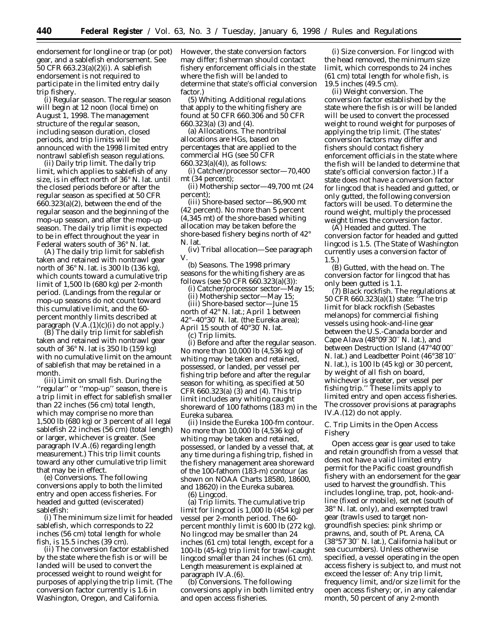endorsement for longline or trap (or pot) gear, and a sablefish endorsement. See 50 CFR 663.23(a)(2)(i). A sablefish endorsement is not required to participate in the limited entry daily trip fishery.

(i) *Regular season.* The regular season will begin at 12 noon (local time) on August 1, 1998. The management structure of the regular season, including season duration, closed periods, and trip limits will be announced with the 1998 limited entry nontrawl sablefish season regulations.

(ii) *Daily trip limit.* The daily trip limit, which applies to sablefish of any size, is in effect north of 36° N. lat. until the closed periods before or after the regular season as specified at 50 CFR 660.323(a)(2), between the end of the regular season and the beginning of the mop-up season, and after the mop-up season. The daily trip limit is expected to be in effect throughout the year in Federal waters south of 36° N. lat.

(A) The daily trip limit for sablefish taken and retained with nontrawl gear north of 36° N. lat. is 300 lb (136 kg), which counts toward a cumulative trip limit of 1,500 lb (680 kg) per 2-month period. (Landings from the regular or mop-up seasons do not count toward this cumulative limit, and the 60 percent monthly limits described at paragraph  $(V.A.(1)(c)(i)$  do not apply.)

(B) The daily trip limit for sablefish taken and retained with nontrawl gear south of 36° N. lat is 350 lb (159 kg) with no cumulative limit on the amount of sablefish that may be retained in a month.

(iii) *Limit on small fish.* During the ''regular'' or ''mop-up'' season, there is a trip limit in effect for sablefish smaller than 22 inches (56 cm) total length, which may comprise no more than 1,500 lb (680 kg) or 3 percent of all legal sablefish 22 inches (56 cm) (total length) or larger, whichever is greater. (See paragraph IV.A.(6) regarding length measurement.) This trip limit counts toward any other cumulative trip limit that may be in effect.

(e) *Conversions.* The following conversions apply to both the limited entry and open access fisheries. For headed and gutted (eviscerated) sablefish:

(i) The minimum size limit for headed sablefish, which corresponds to 22 inches (56 cm) total length for whole fish, is 15.5 inches (39 cm).

(ii) The conversion factor established by the state where the fish is or will be landed will be used to convert the processed weight to round weight for purposes of applying the trip limit. (The conversion factor currently is 1.6 in Washington, Oregon, and California.

However, the state conversion factors may differ; fisherman should contact fishery enforcement officials in the state where the fish will be landed to determine that state's official conversion factor)

(5) *Whiting.* Additional regulations that apply to the whiting fishery are found at 50 CFR 660.306 and 50 CFR 660.323(a) (3) and (4).

(a) *Allocations.* The nontribal allocations are HGs, based on percentages that are applied to the commercial HG (see 50 CFR 660.323(a)(4)), as follows:

(i) *Catcher/processor sector*—70,400 mt (34 percent);

(ii) *Mothership sector*—49,700 mt (24 percent);

(iii) *Shore-based sector*—86,900 mt (42 percent). No more than 5 percent (4,345 mt) of the shore-based whiting allocation may be taken before the shore-based fishery begins north of 42° N. lat.

(iv) *Tribal allocation*—See paragraph V.

(b) *Seasons.* The 1998 primary seasons for the whiting fishery are as follows (see 50 CFR 660.323(a)(3)):

(i) *Catcher/processor sector*—May 15;

(ii) *Mothership sector*—May 15;

(iii) *Shore-based sector*—June 15 north of 42° N. lat.; April 1 between 42°–40°30′ N. lat. (the Eureka area); April 15 south of 40°30′ N. lat.

(c) *Trip limits.*

(i) *Before and after the regular season.* No more than 10,000 lb (4,536 kg) of whiting may be taken and retained, possessed, or landed, per vessel per fishing trip before and after the regular season for whiting, as specified at 50 CFR 660.323(a) (3) and (4). This trip limit includes any whiting caught shoreward of 100 fathoms (183 m) in the Eureka subarea.

(ii) *Inside the Eureka 100-fm contour.* No more than 10,000 lb (4,536 kg) of whiting may be taken and retained, possessed, or landed by a vessel that, at any time during a fishing trip, fished in the fishery management area shoreward of the 100-fathom (183-m) contour (as shown on NOAA Charts 18580, 18600, and 18620) in the Eureka subarea.

(6) *Lingcod.*

(a) *Trip limits.* The cumulative trip limit for lingcod is 1,000 lb (454 kg) per vessel per 2-month period. The 60 percent monthly limit is 600 lb (272 kg). No lingcod may be smaller than 24 inches (61 cm) total length, except for a 100-lb (45-kg) trip limit for trawl-caught lingcod smaller than 24 inches (61 cm). Length measurement is explained at paragraph IV.A.(6).

(b) *Conversions.* The following conversions apply in both limited entry and open access fisheries.

(i) *Size conversion.* For lingcod with the head removed, the minimum size limit, which corresponds to 24 inches (61 cm) total length for whole fish, is 19.5 inches (49.5 cm).

(ii) *Weight conversion.* The conversion factor established by the state where the fish is or will be landed will be used to convert the processed weight to round weight for purposes of applying the trip limit. (The states' conversion factors may differ and fishers should contact fishery enforcement officials in the state where the fish will be landed to determine that state's official conversion factor.) If a state does not have a conversion factor for lingcod that is headed and gutted, or only gutted, the following conversion factors will be used. To determine the round weight, multiply the processed weight times the conversion factor.

(A) *Headed and gutted.* The conversion factor for headed and gutted lingcod is 1.5. (The State of Washington currently uses a conversion factor of 1.5.)

(B) *Gutted, with the head on.* The conversion factor for lingcod that has only been gutted is 1.1.

(7) *Black rockfish.* The regulations at 50 CFR 660.323(a)(1) state: ''The trip limit for black rockfish (*Sebastes melanops*) for commercial fishing vessels using hook-and-line gear between the U.S.-Canada border and Cape Alava (48°09′30′′ N. lat.), and between Destruction Island (47°40′00′′ N. lat.) and Leadbetter Point (46°38′10′′ N. lat.), is 100 lb (45 kg) or 30 percent, by weight of all fish on board, whichever is greater, per vessel per fishing trip.'' These limits apply to limited entry and open access fisheries. The crossover provisions at paragraphs IV.A.(12) do not apply.

## *C. Trip Limits in the Open Access Fishery*

Open access gear is gear used to take and retain groundfish from a vessel that does not have a valid limited entry permit for the Pacific coast groundfish fishery with an endorsement for the gear used to harvest the groundfish. This includes longline, trap, pot, hook-andline (fixed or mobile), set net (south of 38° N. lat. only), and exempted trawl gear (trawls used to target nongroundfish species: pink shrimp or prawns, and, south of Pt. Arena, CA (38°57′30′′ N. lat.), California halibut or sea cucumbers). Unless otherwise specified, a vessel operating in the open access fishery is subject to, and must not exceed the lesser of: Any trip limit, frequency limit, and/or size limit for the open access fishery; or, in any calendar month, 50 percent of any 2-month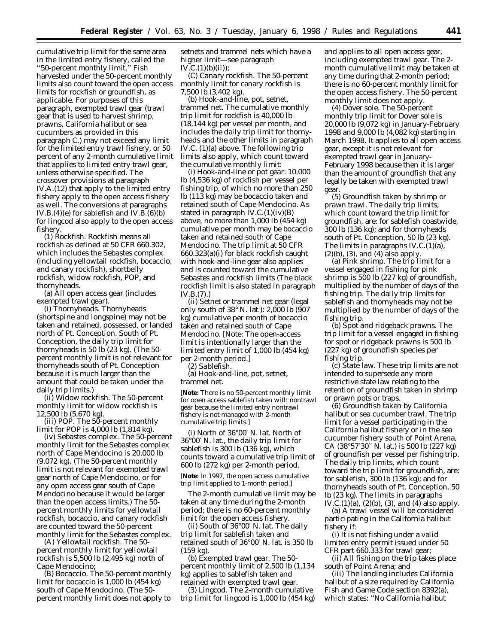cumulative trip limit for the same area in the limited entry fishery, called the ''50-percent monthly limit.'' Fish harvested under the 50-percent monthly limits also count toward the open access limits for rockfish or groundfish, as applicable. For purposes of this paragraph, exempted trawl gear (trawl gear that is used to harvest shrimp, prawns, California halibut or sea cucumbers as provided in this paragraph C.) may not exceed any limit for the limited entry trawl fishery, or 50 percent of any 2-month cumulative limit that applies to limited entry trawl gear, unless otherwise specified. The crossover provisions at paragraph IV.A.(12) that apply to the limited entry fishery apply to the open access fishery as well. The conversions at paragraphs IV.B.(4)(e) for sablefish and IV.B.(6)(b) for lingcod also apply to the open access fishery.

(1) *Rockfish.* Rockfish means all rockfish as defined at 50 CFR 660.302, which includes the *Sebastes* complex (including yellowtail rockfish, bocaccio, and canary rockfish), shortbelly rockfish, widow rockfish, POP, and thornyheads.

(a) *All open access gear (includes exempted trawl gear).*

(i) *Thornyheads.* Thornyheads (shortspine and longspine) may not be taken and retained, possessed, or landed north of Pt. Conception. South of Pt. Conception, the daily trip limit for thornyheads is 50 lb (23 kg). (The 50 percent monthly limit is not relevant for thornyheads south of Pt. Conception because it is much larger than the amount that could be taken under the daily trip limits.)

(ii) *Widow rockfish.* The 50-percent monthly limit for widow rockfish is 12,500 lb (5,670 kg).

(iii) *POP.* The 50-percent monthly limit for POP is 4,000 lb (1,814 kg).

(iv) *Sebastes complex.* The 50-percent monthly limit for the *Sebastes* complex north of Cape Mendocino is 20,000 lb (9,072 kg). (The 50-percent monthly limit is not relevant for exempted trawl gear north of Cape Mendocino, or for any open access gear south of Cape Mendocino because it would be larger than the open access limits.) The 50 percent monthly limits for yellowtail rockfish, bocaccio, and canary rockfish are counted toward the 50-percent monthly limit for the *Sebastes* complex.

(A) *Yellowtail rockfish.* The 50 percent monthly limit for yellowtail rockfish is 5,500 lb (2,495 kg) north of Cape Mendocino;

(B) *Bocaccio.* The 50-percent monthly limit for bocaccio is 1,000 lb (454 kg) south of Cape Mendocino. (The 50 percent monthly limit does not apply to

setnets and trammel nets which have a higher limit—see paragraph  $IV.C.(1)(b)(ii))$ ;

(C) *Canary rockfish.* The 50-percent monthly limit for canary rockfish is 7,500 lb (3,402 kg).

(b) *Hook-and-line, pot, setnet, trammel net.* The cumulative monthly trip limit for rockfish is 40,000 lb (18,144 kg) per vessel per month, and includes the daily trip limit for thornyheads and the other limits in paragraph IV.C. (1)(a) above. The following trip limits also apply, which count toward the cumulative monthly limit:

(i) *Hook-and-line or pot gear:* 10,000 lb (4,536 kg) of rockfish per vessel per fishing trip, of which no more than 250 lb (113 kg) may be bocaccio taken and retained south of Cape Mendocino. As stated in paragraph  $IV.C.(1)(iv)(B)$ above, no more than 1,000 lb (454 kg) cumulative per month may be bocaccio taken and retained south of Cape Mendocino. The trip limit at 50 CFR 660.323(a)(i) for black rockfish caught with hook-and-line gear also applies and is counted toward the cumulative *Sebastes* and rockfish limits (The black rockfish limit is also stated in paragraph IV.B.(7).)

(ii) *Setnet or trammel net gear* (legal only south of 38° N. lat.): 2,000 lb (907 kg) cumulative per month of bocaccio taken and retained south of Cape Mendocino. [Note: The open-access limit is intentionally larger than the limited entry limit of 1,000 lb (454 kg) per 2-month period.]

(2) *Sablefish*.

(a) *Hook-and-line, pot, setnet, trammel net*.

[**Note:** There is no 50-percent monthly limit for open access sablefish taken with nontrawl gear because the limited entry nontrawl fishery is not managed with 2-month cumulative trip limits.]

(i) *North of 36*°*00*′ *N. lat*. North of 36°00′ N. lat., the daily trip limit for sablefish is 300 lb (136 kg), which counts toward a cumulative trip limit of 600 lb (272 kg) per 2-month period.

[**Note:** In 1997, the open access cumulative trip limit applied to 1-month period.]

The 2-month cumulative limit may be taken at any time during the 2-month period; there is no 60-percent monthly limit for the open access fishery.

(ii) *South of 36*°*00*′ *N. lat*. The daily trip limit for sablefish taken and retained south of 36°00′ N. lat. is 350 lb (159 kg).

(b) *Exempted trawl gear*. The 50 percent monthly limit of 2,500 lb (1,134 kg) applies to sablefish taken and retained with exempted trawl gear.

(3) *Lingcod*. The 2-month cumulative trip limit for lingcod is 1,000 lb (454 kg) and applies to all open access gear, including exempted trawl gear. The 2 month cumulative limit may be taken at any time during that 2-month period; there is no 60-percent monthly limit for the open access fishery. The 50-percent monthly limit does not apply.

(4) *Dover sole*. The 50-percent monthly trip limit for Dover sole is 20,000 lb (9,072 kg) in January-February 1998 and 9,000 lb (4,082 kg) starting in March 1998. It applies to all open access gear, except it is not relevant for exempted trawl gear in January-February 1998 because then it is larger than the amount of groundfish that any legally be taken with exempted trawl gear.

(5) *Groundfish taken by shrimp or prawn trawl*. The daily trip limits, which count toward the trip limit for groundfish, are: for sablefish coastwide, 300 lb (136 kg); and for thornyheads south of Pt. Conception, 50 lb (23 kg). The limits in paragraphs IV.C.(1)(a), (2)(b), (3), and (4) also apply.

(a) *Pink shrimp*. The trip limit for a vessel engaged in fishing for pink shrimp is 500 lb (227 kg) of groundfish, multiplied by the number of days of the fishing trip. The daily trip limits for sablefish and thornyheads may not be multiplied by the number of days of the fishing trip.

(b) *Spot and ridgeback prawns*. The trip limit for a vessel engaged in fishing for spot or ridgeback prawns is 500 lb (227 kg) of groundfish species per fishing trip.

(c) *State law*. These trip limits are not intended to supersede any more restrictive state law relating to the retention of groundfish taken in shrimp or prawn pots or traps.

(6) *Groundfish taken by California halibut or sea cucumber trawl*. The trip limit for a vessel participating in the California halibut fishery or in the sea cucumber fishery south of Point Arena, CA (38°57′30′′ N. lat.) is 500 lb (227 kg) of groundfish per vessel per fishing trip. The daily trip limits, which count toward the trip limit for groundfish, are: for sablefish, 300 lb (136 kg); and for thornyheads south of Pt. Conception, 50 lb (23 kg). The limits in paragraphs IV.C. $(1)(a)$ ,  $(2)(b)$ ,  $(3)$ , and  $(4)$  also apply.

(a) A trawl vessel will be considered participating in the California halibut fishery if:

(i) It is not fishing under a valid limited entry permit issued under 50 CFR part 660.333 for trawl gear;

(ii) All fishing on the trip takes place south of Point Arena; and

(iii) The landing includes California halibut of a size required by California Fish and Game Code section 8392(a), which states: ''No California halibut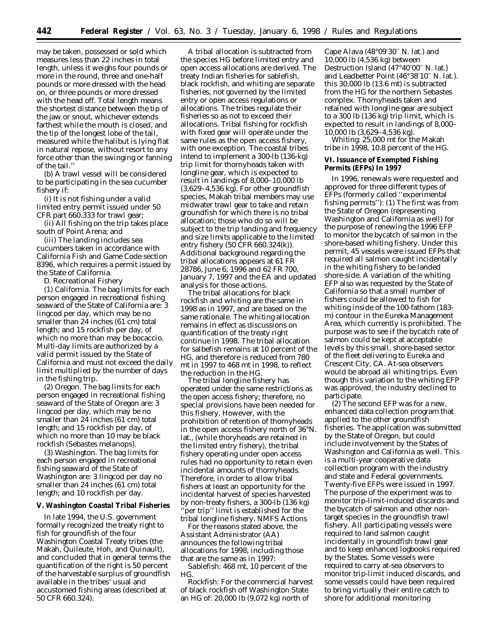may be taken, possessed or sold which measures less than 22 inches in total length, unless it weighs four pounds or more in the round, three and one-half pounds or more dressed with the head on, or three pounds or more dressed with the head off. Total length means the shortest distance between the tip of the jaw or snout, whichever extends farthest while the mouth is closed, and the tip of the longest lobe of the tail, measured while the halibut is lying flat in natural repose, without resort to any force other than the swinging or fanning of the tail.''

(b) A trawl vessel will be considered to be participating in the sea cucumber fishery if:

(i) It is not fishing under a valid limited entry permit issued under 50 CFR part 660.333 for trawl gear;

(ii) All fishing on the trip takes place south of Point Arena; and

(iii) The landing includes sea cucumbers taken in accordance with California Fish and Game Code section 8396, which requires a permit issued by the State of California.

D. *Recreational Fishery*

(1) *California.* The bag limits for each person engaged in recreational fishing seaward of the State of California are: 3 lingcod per day, which may be no smaller than 24 inches (61 cm) total length; and 15 rockfish per day, of which no more than may be bocaccio. Multi-day limits are authorized by a valid permit issued by the State of California and must not exceed the daily limit multiplied by the number of days in the fishing trip.

(2) *Oregon.* The bag limits for each person engaged in recreational fishing seaward of the State of Oregon are: 3 lingcod per day, which may be no smaller than 24 inches (61 cm) total length; and 15 rockfish per day, of which no more than 10 may be black rockfish (*Sebastes melanops).*

(3) *Washington.* The bag limits for each person engaged in recreational fishing seaward of the State of Washington are: 3 lingcod per day no smaller than 24 inches (61 cm) total length; and 10 rockfish per day.

### **V. Washington Coastal Tribal Fisheries**

In late 1994, the U.S. government formally recognized the treaty right to fish for groundfish of the four Washington Coastal Treaty tribes (the Makah, Quileute, Hoh, and Quinault), and concluded that in general terms the quantification of the right is 50 percent of the harvestable surplus of groundfish available in the tribes' usual and accustomed fishing areas (described at 50 CFR 660.324).

A tribal allocation is subtracted from the species HG before limited entry and open access allocations are derived. The treaty Indian fisheries for sablefish, black rockfish, and whiting are separate fisheries, not governed by the limited entry or open access regulations or allocations. The tribes regulate their fisheries so as not to exceed their allocations. Tribal fishing for rockfish with fixed gear will operate under the same rules as the open access fishery, with one exception. The coastal tribes intend to implement a 300-lb (136-kg) trip limit for thornyheads taken with longline gear, which is expected to result in landings of 8,000–10,000 lb (3,629–4,536 kg). For other groundfish species, Makah tribal members may use midwater trawl gear to take and retain groundfish for which there is no tribal allocation; those who do so will be subject to the trip landing and frequency and size limits applicable to the limited entry fishery (50 CFR 660.324(k)). Additional background regarding the tribal allocations appears at 61 FR 28786, June 6, 1996 and 62 FR 700, January 7, 1997 and the EA and updated analysis for those actions.

The tribal allocations for black rockfish and whiting are the same in 1998 as in 1997, and are based on the same rationale. The whiting allocation remains in effect as discussions on quantification of the treaty right continue in 1998. The tribal allocation for salbefish remains at 10 percent of the HG, and therefore is reduced from 780 mt in 1997 to 468 mt in 1998, to reflect the reduction in the HG.

The tribal longline fishery has operated under the same restrictions as the open access fishery; therefore, no special provisions have been needed for this fishery. However, with the prohibition of retention of thornyheads in the open access fishery north of 36°N. lat., (while thoryheads are retained in the limited entry fishery), the tribal fishery operating under open access rules had no opportunity to retain even incidental amounts of thornyheads. Therefore, in order to allow tribal fishers at least an opportunity for the incidental harvest of species harvested by non-treaty fishers, a 300-lb (136 kg) 'per trip'' limit is established for the tribal longline fishery. NMFS Actions

For the reasons stated above, the Assistant Administrator (AA) announces the following tribal allocations for 1998, including those that are the same as in 1997:

*Sablefish:* 468 mt, 10 percent of the HG.

*Rockfish:* For the commercial harvest of black rockfish off Washington State an HG of: 20,000 lb (9,072 kg) north of

Cape Alava (48°09′30′′ N. lat.) and 10,000 lb (4,536 kg) between Destruction Island (47°40′00′′ N. lat.) and Leadbetter Point (46°38′10′′ N. lat.). this 30,000 lb (13.6 mt) is subtracted from the HG for the northern *Sebastes* complex. Thornyheads taken and retained with longline gear are subject to a 300 lb (136 kg) trip limit, which is expected to result in landings of 8,000– 10,000 lb (3,629–4,536 kg).

*Whiting:* 25,000 mt for the Makah tribe in 1998, 10.8 percent of the HG.

## **VI. Issuance of Exempted Fishing Permits (EFPs) In 1997**

In 1996, renewals were requested and approved for three different types of EFPs (formerly called ''experimental fishing permits''): (1) The first was from the State of Oregon (representing Washington and California as well) for the purpose of renewing the 1996 EFP to monitor the bycatch of salmon in the shore-based whiting fishery. Under this permit, 45 vessels were issued EFPs that required all salmon caught incidentally in the whiting fishery to be landed shore-side. A variation of the whiting EFP also was requested by the State of California so that a small number of fishers could be allowed to fish for whiting inside of the 100-fathom (183 m) contour in the Eureka Management Area, which currently is prohibited. The purpose was to see if the bycatch rate of salmon could be kept at acceptable levels by this small, shore-based sector of the fleet delivering to Eureka and Crescent City, CA. At-sea observers would be abroad all whiting trips. Even though this variation to the whiting EFP was approved, the industry declined to participate.

(2) The second EFP was for a new, enhanced data collection program that applied to the other groundfish fisheries. The application was submitted by the State of Oregon, but could include involvement by the States of Washington and California as well. This is a multi-year cooperative data collection program with the industry and state and Federal governments. Twenty-five EFPs were issued in 1997. The purpose of the experiment was to monitor trip-limit-induced discards and the bycatch of salmon and other nontarget species in the groundfish trawl fishery. All participating vessels were required to land salmon caught incidentally in groundfish trawl gear and to keep enhanced logbooks required by the States. Some vessels were required to carry at-sea observers to monitor trip-limit induced discards, and some vessels could have been required to bring virtually their entire catch to shore for additional monitoring